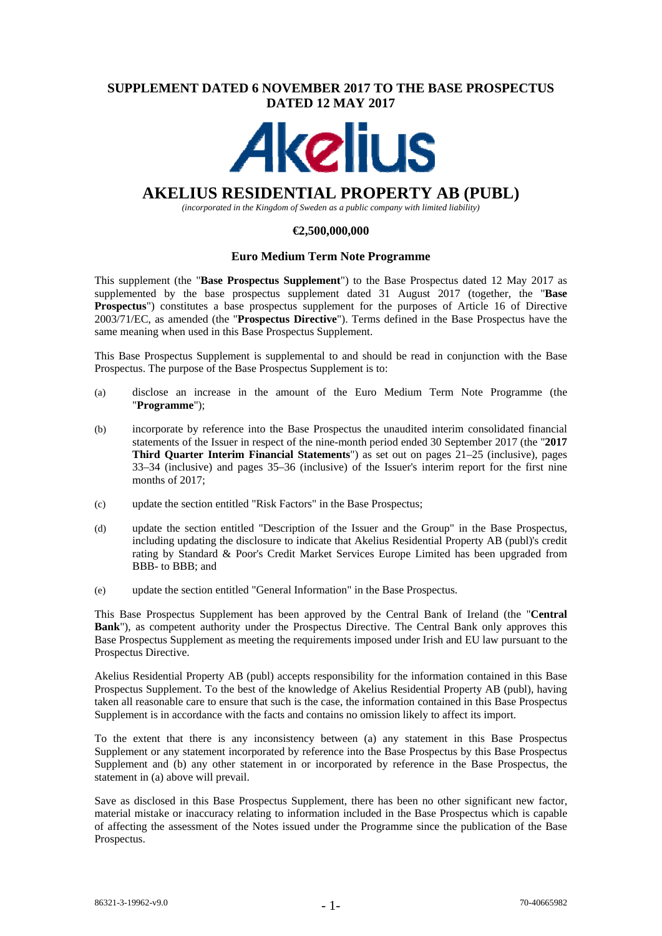# **SUPPLEMENT DATED 6 NOVEMBER 2017 TO THE BASE PROSPECTUS DATED 12 MAY 2017**



# **AKELIUS RESIDENTIAL PROPERTY AB (PUBL)**

*(incorporated in the Kingdom of Sweden as a public company with limited liability)* 

## **€2,500,000,000**

## **Euro Medium Term Note Programme**

This supplement (the "**Base Prospectus Supplement**") to the Base Prospectus dated 12 May 2017 as supplemented by the base prospectus supplement dated 31 August 2017 (together, the "**Base Prospectus**") constitutes a base prospectus supplement for the purposes of Article 16 of Directive 2003/71/EC, as amended (the "**Prospectus Directive**"). Terms defined in the Base Prospectus have the same meaning when used in this Base Prospectus Supplement.

This Base Prospectus Supplement is supplemental to and should be read in conjunction with the Base Prospectus. The purpose of the Base Prospectus Supplement is to:

- (a) disclose an increase in the amount of the Euro Medium Term Note Programme (the "**Programme**");
- (b) incorporate by reference into the Base Prospectus the unaudited interim consolidated financial statements of the Issuer in respect of the nine-month period ended 30 September 2017 (the "**2017 Third Quarter Interim Financial Statements**") as set out on pages 21–25 (inclusive), pages 33–34 (inclusive) and pages 35–36 (inclusive) of the Issuer's interim report for the first nine months of 2017;
- (c) update the section entitled "Risk Factors" in the Base Prospectus;
- (d) update the section entitled "Description of the Issuer and the Group" in the Base Prospectus, including updating the disclosure to indicate that Akelius Residential Property AB (publ)'s credit rating by Standard & Poor's Credit Market Services Europe Limited has been upgraded from BBB- to BBB; and
- (e) update the section entitled "General Information" in the Base Prospectus.

This Base Prospectus Supplement has been approved by the Central Bank of Ireland (the "**Central Bank**"), as competent authority under the Prospectus Directive. The Central Bank only approves this Base Prospectus Supplement as meeting the requirements imposed under Irish and EU law pursuant to the Prospectus Directive.

Akelius Residential Property AB (publ) accepts responsibility for the information contained in this Base Prospectus Supplement. To the best of the knowledge of Akelius Residential Property AB (publ), having taken all reasonable care to ensure that such is the case, the information contained in this Base Prospectus Supplement is in accordance with the facts and contains no omission likely to affect its import.

To the extent that there is any inconsistency between (a) any statement in this Base Prospectus Supplement or any statement incorporated by reference into the Base Prospectus by this Base Prospectus Supplement and (b) any other statement in or incorporated by reference in the Base Prospectus, the statement in (a) above will prevail.

Save as disclosed in this Base Prospectus Supplement, there has been no other significant new factor, material mistake or inaccuracy relating to information included in the Base Prospectus which is capable of affecting the assessment of the Notes issued under the Programme since the publication of the Base Prospectus.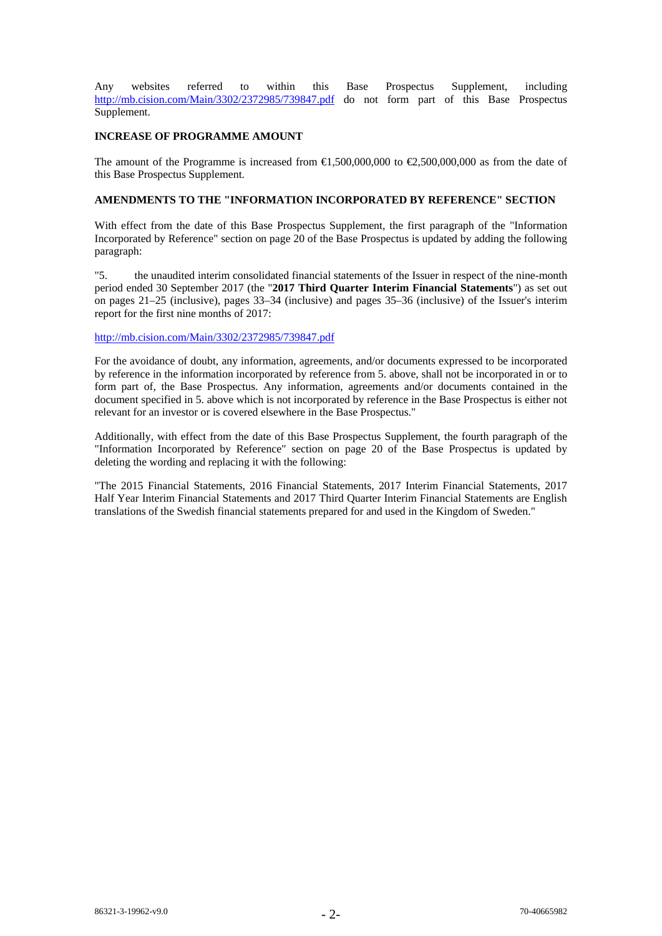Any websites referred to within this Base Prospectus Supplement, including http://mb.cision.com/Main/3302/2372985/739847.pdf do not form part of this Base Prospectus Supplement.

## **INCREASE OF PROGRAMME AMOUNT**

The amount of the Programme is increased from  $\bigoplus$ ,500,000,000 to  $\bigoplus$ ,500,000,000 as from the date of this Base Prospectus Supplement.

# **AMENDMENTS TO THE "INFORMATION INCORPORATED BY REFERENCE" SECTION**

With effect from the date of this Base Prospectus Supplement, the first paragraph of the "Information Incorporated by Reference" section on page 20 of the Base Prospectus is updated by adding the following paragraph:

"5. the unaudited interim consolidated financial statements of the Issuer in respect of the nine-month period ended 30 September 2017 (the "**2017 Third Quarter Interim Financial Statements**") as set out on pages 21–25 (inclusive), pages 33–34 (inclusive) and pages 35–36 (inclusive) of the Issuer's interim report for the first nine months of 2017:

## http://mb.cision.com/Main/3302/2372985/739847.pdf

For the avoidance of doubt, any information, agreements, and/or documents expressed to be incorporated by reference in the information incorporated by reference from 5. above, shall not be incorporated in or to form part of, the Base Prospectus. Any information, agreements and/or documents contained in the document specified in 5. above which is not incorporated by reference in the Base Prospectus is either not relevant for an investor or is covered elsewhere in the Base Prospectus."

Additionally, with effect from the date of this Base Prospectus Supplement, the fourth paragraph of the "Information Incorporated by Reference" section on page 20 of the Base Prospectus is updated by deleting the wording and replacing it with the following:

"The 2015 Financial Statements, 2016 Financial Statements, 2017 Interim Financial Statements, 2017 Half Year Interim Financial Statements and 2017 Third Quarter Interim Financial Statements are English translations of the Swedish financial statements prepared for and used in the Kingdom of Sweden."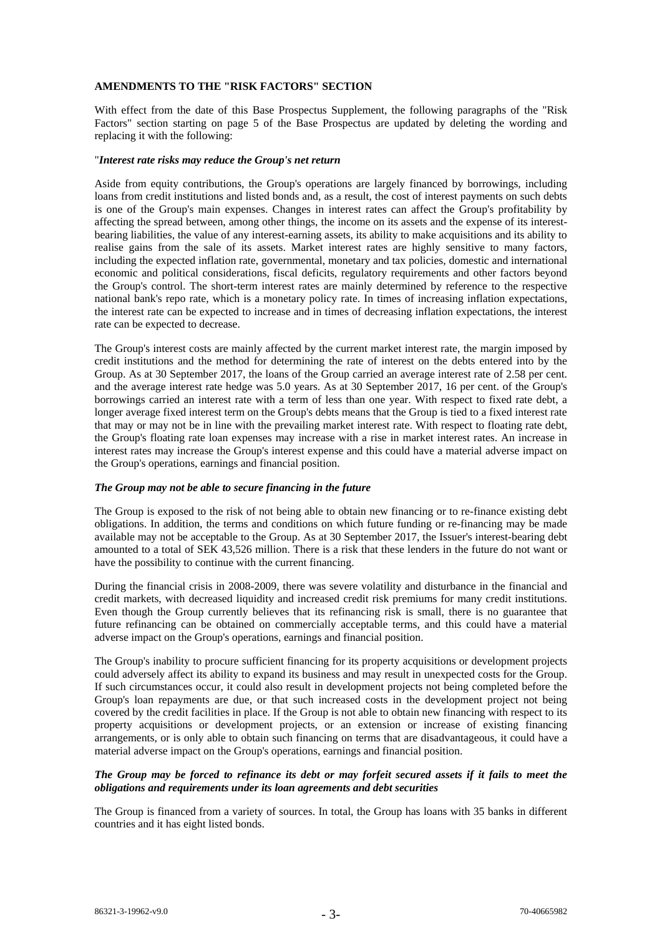## **AMENDMENTS TO THE "RISK FACTORS" SECTION**

With effect from the date of this Base Prospectus Supplement, the following paragraphs of the "Risk Factors" section starting on page 5 of the Base Prospectus are updated by deleting the wording and replacing it with the following:

#### "*Interest rate risks may reduce the Group's net return*

Aside from equity contributions, the Group's operations are largely financed by borrowings, including loans from credit institutions and listed bonds and, as a result, the cost of interest payments on such debts is one of the Group's main expenses. Changes in interest rates can affect the Group's profitability by affecting the spread between, among other things, the income on its assets and the expense of its interestbearing liabilities, the value of any interest-earning assets, its ability to make acquisitions and its ability to realise gains from the sale of its assets. Market interest rates are highly sensitive to many factors, including the expected inflation rate, governmental, monetary and tax policies, domestic and international economic and political considerations, fiscal deficits, regulatory requirements and other factors beyond the Group's control. The short-term interest rates are mainly determined by reference to the respective national bank's repo rate, which is a monetary policy rate. In times of increasing inflation expectations, the interest rate can be expected to increase and in times of decreasing inflation expectations, the interest rate can be expected to decrease.

The Group's interest costs are mainly affected by the current market interest rate, the margin imposed by credit institutions and the method for determining the rate of interest on the debts entered into by the Group. As at 30 September 2017, the loans of the Group carried an average interest rate of 2.58 per cent. and the average interest rate hedge was 5.0 years. As at 30 September 2017, 16 per cent. of the Group's borrowings carried an interest rate with a term of less than one year. With respect to fixed rate debt, a longer average fixed interest term on the Group's debts means that the Group is tied to a fixed interest rate that may or may not be in line with the prevailing market interest rate. With respect to floating rate debt, the Group's floating rate loan expenses may increase with a rise in market interest rates. An increase in interest rates may increase the Group's interest expense and this could have a material adverse impact on the Group's operations, earnings and financial position.

## *The Group may not be able to secure financing in the future*

The Group is exposed to the risk of not being able to obtain new financing or to re-finance existing debt obligations. In addition, the terms and conditions on which future funding or re-financing may be made available may not be acceptable to the Group. As at 30 September 2017, the Issuer's interest-bearing debt amounted to a total of SEK 43,526 million. There is a risk that these lenders in the future do not want or have the possibility to continue with the current financing.

During the financial crisis in 2008-2009, there was severe volatility and disturbance in the financial and credit markets, with decreased liquidity and increased credit risk premiums for many credit institutions. Even though the Group currently believes that its refinancing risk is small, there is no guarantee that future refinancing can be obtained on commercially acceptable terms, and this could have a material adverse impact on the Group's operations, earnings and financial position.

The Group's inability to procure sufficient financing for its property acquisitions or development projects could adversely affect its ability to expand its business and may result in unexpected costs for the Group. If such circumstances occur, it could also result in development projects not being completed before the Group's loan repayments are due, or that such increased costs in the development project not being covered by the credit facilities in place. If the Group is not able to obtain new financing with respect to its property acquisitions or development projects, or an extension or increase of existing financing arrangements, or is only able to obtain such financing on terms that are disadvantageous, it could have a material adverse impact on the Group's operations, earnings and financial position.

## *The Group may be forced to refinance its debt or may forfeit secured assets if it fails to meet the obligations and requirements under its loan agreements and debt securities*

The Group is financed from a variety of sources. In total, the Group has loans with 35 banks in different countries and it has eight listed bonds.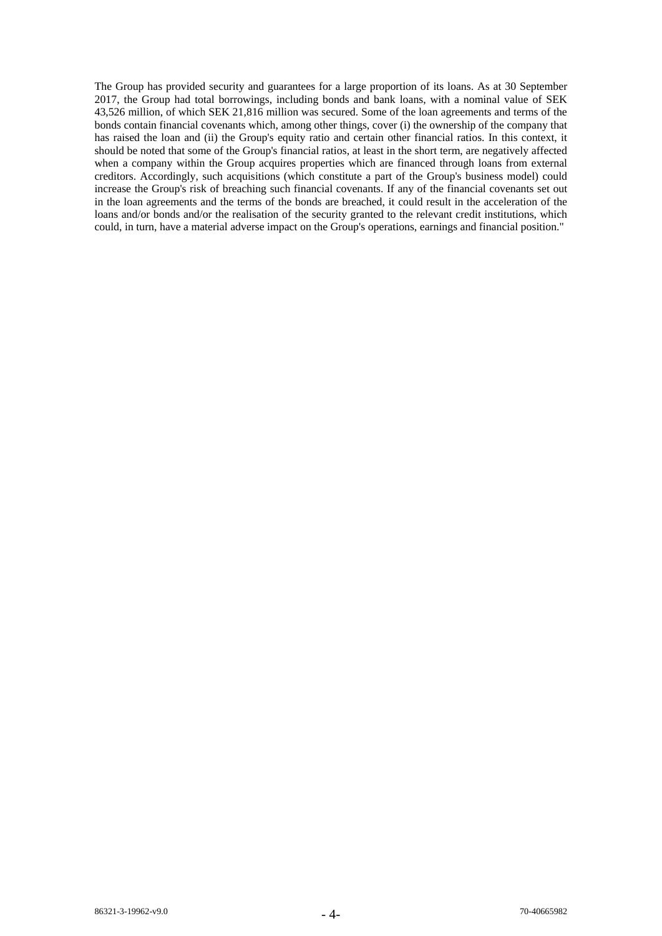The Group has provided security and guarantees for a large proportion of its loans. As at 30 September 2017, the Group had total borrowings, including bonds and bank loans, with a nominal value of SEK 43,526 million, of which SEK 21,816 million was secured. Some of the loan agreements and terms of the bonds contain financial covenants which, among other things, cover (i) the ownership of the company that has raised the loan and (ii) the Group's equity ratio and certain other financial ratios. In this context, it should be noted that some of the Group's financial ratios, at least in the short term, are negatively affected when a company within the Group acquires properties which are financed through loans from external creditors. Accordingly, such acquisitions (which constitute a part of the Group's business model) could increase the Group's risk of breaching such financial covenants. If any of the financial covenants set out in the loan agreements and the terms of the bonds are breached, it could result in the acceleration of the loans and/or bonds and/or the realisation of the security granted to the relevant credit institutions, which could, in turn, have a material adverse impact on the Group's operations, earnings and financial position."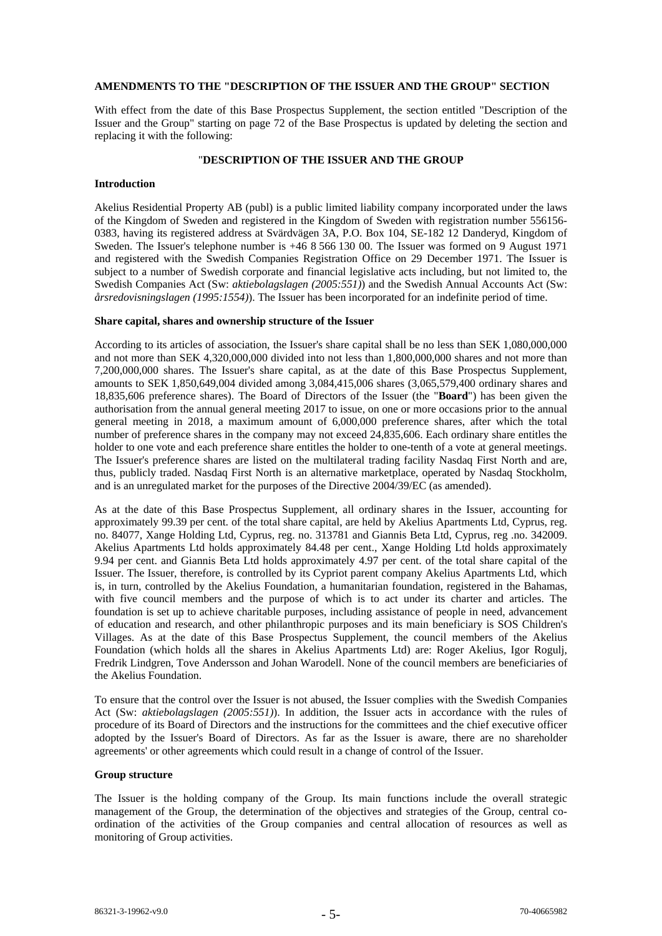## **AMENDMENTS TO THE "DESCRIPTION OF THE ISSUER AND THE GROUP" SECTION**

With effect from the date of this Base Prospectus Supplement, the section entitled "Description of the Issuer and the Group" starting on page 72 of the Base Prospectus is updated by deleting the section and replacing it with the following:

#### "**DESCRIPTION OF THE ISSUER AND THE GROUP**

### **Introduction**

Akelius Residential Property AB (publ) is a public limited liability company incorporated under the laws of the Kingdom of Sweden and registered in the Kingdom of Sweden with registration number 556156- 0383, having its registered address at Svärdvägen 3A, P.O. Box 104, SE-182 12 Danderyd, Kingdom of Sweden. The Issuer's telephone number is +46 8 566 130 00. The Issuer was formed on 9 August 1971 and registered with the Swedish Companies Registration Office on 29 December 1971. The Issuer is subject to a number of Swedish corporate and financial legislative acts including, but not limited to, the Swedish Companies Act (Sw: *aktiebolagslagen (2005:551)*) and the Swedish Annual Accounts Act (Sw: *årsredovisningslagen (1995:1554)*). The Issuer has been incorporated for an indefinite period of time.

## **Share capital, shares and ownership structure of the Issuer**

According to its articles of association, the Issuer's share capital shall be no less than SEK 1,080,000,000 and not more than SEK 4,320,000,000 divided into not less than 1,800,000,000 shares and not more than 7,200,000,000 shares. The Issuer's share capital, as at the date of this Base Prospectus Supplement, amounts to SEK 1,850,649,004 divided among 3,084,415,006 shares (3,065,579,400 ordinary shares and 18,835,606 preference shares). The Board of Directors of the Issuer (the "**Board**") has been given the authorisation from the annual general meeting 2017 to issue, on one or more occasions prior to the annual general meeting in 2018, a maximum amount of 6,000,000 preference shares, after which the total number of preference shares in the company may not exceed 24,835,606. Each ordinary share entitles the holder to one vote and each preference share entitles the holder to one-tenth of a vote at general meetings. The Issuer's preference shares are listed on the multilateral trading facility Nasdaq First North and are, thus, publicly traded. Nasdaq First North is an alternative marketplace, operated by Nasdaq Stockholm, and is an unregulated market for the purposes of the Directive 2004/39/EC (as amended).

As at the date of this Base Prospectus Supplement, all ordinary shares in the Issuer, accounting for approximately 99.39 per cent. of the total share capital, are held by Akelius Apartments Ltd, Cyprus, reg. no. 84077, Xange Holding Ltd, Cyprus, reg. no. 313781 and Giannis Beta Ltd, Cyprus, reg .no. 342009. Akelius Apartments Ltd holds approximately 84.48 per cent., Xange Holding Ltd holds approximately 9.94 per cent. and Giannis Beta Ltd holds approximately 4.97 per cent. of the total share capital of the Issuer. The Issuer, therefore, is controlled by its Cypriot parent company Akelius Apartments Ltd, which is, in turn, controlled by the Akelius Foundation, a humanitarian foundation, registered in the Bahamas, with five council members and the purpose of which is to act under its charter and articles. The foundation is set up to achieve charitable purposes, including assistance of people in need, advancement of education and research, and other philanthropic purposes and its main beneficiary is SOS Children's Villages. As at the date of this Base Prospectus Supplement, the council members of the Akelius Foundation (which holds all the shares in Akelius Apartments Ltd) are: Roger Akelius, Igor Rogulj, Fredrik Lindgren, Tove Andersson and Johan Warodell. None of the council members are beneficiaries of the Akelius Foundation.

To ensure that the control over the Issuer is not abused, the Issuer complies with the Swedish Companies Act (Sw: *aktiebolagslagen (2005:551)*). In addition, the Issuer acts in accordance with the rules of procedure of its Board of Directors and the instructions for the committees and the chief executive officer adopted by the Issuer's Board of Directors. As far as the Issuer is aware, there are no shareholder agreements' or other agreements which could result in a change of control of the Issuer.

## **Group structure**

The Issuer is the holding company of the Group. Its main functions include the overall strategic management of the Group, the determination of the objectives and strategies of the Group, central coordination of the activities of the Group companies and central allocation of resources as well as monitoring of Group activities.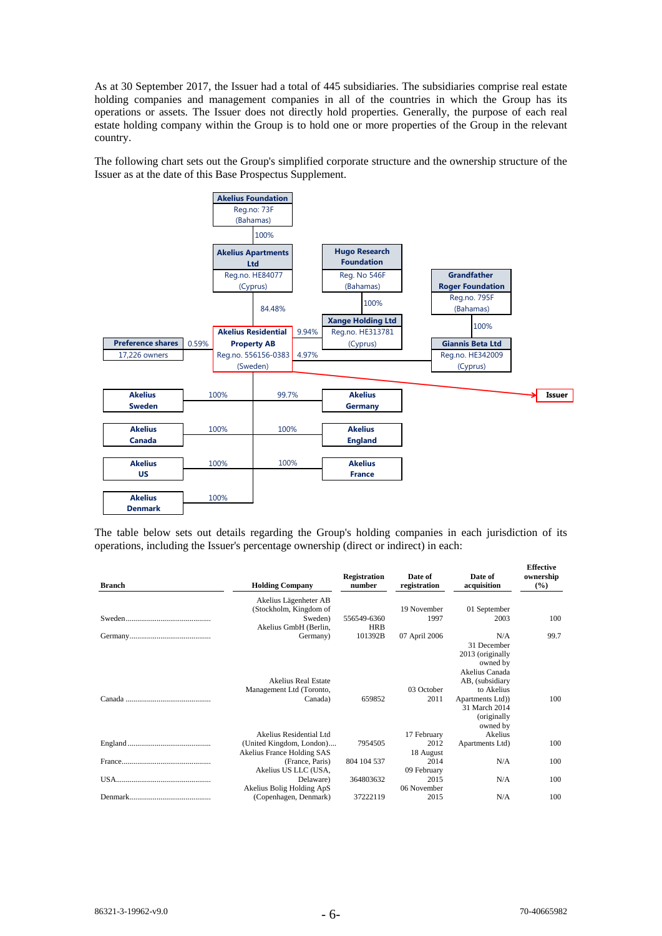As at 30 September 2017, the Issuer had a total of 445 subsidiaries. The subsidiaries comprise real estate holding companies and management companies in all of the countries in which the Group has its operations or assets. The Issuer does not directly hold properties. Generally, the purpose of each real estate holding company within the Group is to hold one or more properties of the Group in the relevant country.

The following chart sets out the Group's simplified corporate structure and the ownership structure of the Issuer as at the date of this Base Prospectus Supplement.



The table below sets out details regarding the Group's holding companies in each jurisdiction of its operations, including the Issuer's percentage ownership (direct or indirect) in each:

| <b>Branch</b> | <b>Holding Company</b>                                            | <b>Registration</b><br>number | Date of<br>registration | Date of<br>acquisition                                                                       | -------<br>ownership<br>$(\%)$ |
|---------------|-------------------------------------------------------------------|-------------------------------|-------------------------|----------------------------------------------------------------------------------------------|--------------------------------|
|               | Akelius Lägenheter AB<br>(Stockholm, Kingdom of                   |                               | 19 November             | 01 September                                                                                 |                                |
|               | Sweden)<br>Akelius GmbH (Berlin,                                  | 556549-6360<br><b>HRB</b>     | 1997                    | 2003                                                                                         | 100                            |
|               | Germany)                                                          | 101392B                       | 07 April 2006           | N/A<br>31 December<br>2013 (originally<br>owned by<br>Akelius Canada                         | 99.7                           |
|               | <b>Akelius Real Estate</b><br>Management Ltd (Toronto,<br>Canada) | 659852                        | 03 October<br>2011      | AB, (subsidiary<br>to Akelius<br>Apartments Ltd)<br>31 March 2014<br>(originally<br>owned by | 100                            |
|               | Akelius Residential Ltd                                           |                               | 17 February             | Akelius                                                                                      |                                |
|               | (United Kingdom, London)<br>Akelius France Holding SAS            | 7954505                       | 2012<br>18 August       | Apartments Ltd)                                                                              | 100                            |
|               | (France, Paris)<br>Akelius US LLC (USA,                           | 804 104 537                   | 2014<br>09 February     | N/A                                                                                          | 100                            |
|               | Delaware)<br>Akelius Bolig Holding ApS                            | 364803632                     | 2015<br>06 November     | N/A                                                                                          | 100                            |
|               | (Copenhagen, Denmark)                                             | 37222119                      | 2015                    | N/A                                                                                          | 100                            |

**Effective**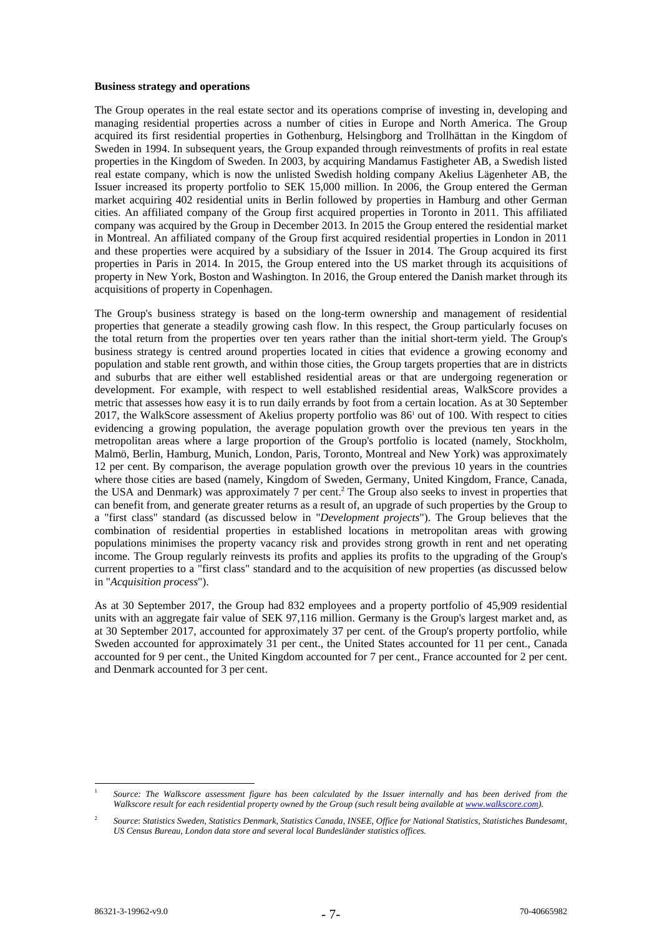#### **Business strategy and operations**

The Group operates in the real estate sector and its operations comprise of investing in, developing and managing residential properties across a number of cities in Europe and North America. The Group acquired its first residential properties in Gothenburg, Helsingborg and Trollhättan in the Kingdom of Sweden in 1994. In subsequent years, the Group expanded through reinvestments of profits in real estate properties in the Kingdom of Sweden. In 2003, by acquiring Mandamus Fastigheter AB, a Swedish listed real estate company, which is now the unlisted Swedish holding company Akelius Lägenheter AB, the Issuer increased its property portfolio to SEK 15,000 million. In 2006, the Group entered the German market acquiring 402 residential units in Berlin followed by properties in Hamburg and other German cities. An affiliated company of the Group first acquired properties in Toronto in 2011. This affiliated company was acquired by the Group in December 2013. In 2015 the Group entered the residential market in Montreal. An affiliated company of the Group first acquired residential properties in London in 2011 and these properties were acquired by a subsidiary of the Issuer in 2014. The Group acquired its first properties in Paris in 2014. In 2015, the Group entered into the US market through its acquisitions of property in New York, Boston and Washington. In 2016, the Group entered the Danish market through its acquisitions of property in Copenhagen.

The Group's business strategy is based on the long-term ownership and management of residential properties that generate a steadily growing cash flow. In this respect, the Group particularly focuses on the total return from the properties over ten years rather than the initial short-term yield. The Group's business strategy is centred around properties located in cities that evidence a growing economy and population and stable rent growth, and within those cities, the Group targets properties that are in districts and suburbs that are either well established residential areas or that are undergoing regeneration or development. For example, with respect to well established residential areas, WalkScore provides a metric that assesses how easy it is to run daily errands by foot from a certain location. As at 30 September 2017, the WalkScore assessment of Akelius property portfolio was 86<sup>1</sup> out of 100. With respect to cities evidencing a growing population, the average population growth over the previous ten years in the metropolitan areas where a large proportion of the Group's portfolio is located (namely, Stockholm, Malmö, Berlin, Hamburg, Munich, London, Paris, Toronto, Montreal and New York) was approximately 12 per cent. By comparison, the average population growth over the previous 10 years in the countries where those cities are based (namely, Kingdom of Sweden, Germany, United Kingdom, France, Canada, the USA and Denmark) was approximately 7 per cent.<sup>2</sup> The Group also seeks to invest in properties that can benefit from, and generate greater returns as a result of, an upgrade of such properties by the Group to a "first class" standard (as discussed below in "*Development projects*"). The Group believes that the combination of residential properties in established locations in metropolitan areas with growing populations minimises the property vacancy risk and provides strong growth in rent and net operating income. The Group regularly reinvests its profits and applies its profits to the upgrading of the Group's current properties to a "first class" standard and to the acquisition of new properties (as discussed below in "*Acquisition process*").

As at 30 September 2017, the Group had 832 employees and a property portfolio of 45,909 residential units with an aggregate fair value of SEK 97,116 million. Germany is the Group's largest market and, as at 30 September 2017, accounted for approximately 37 per cent. of the Group's property portfolio, while Sweden accounted for approximately 31 per cent., the United States accounted for 11 per cent., Canada accounted for 9 per cent., the United Kingdom accounted for 7 per cent., France accounted for 2 per cent. and Denmark accounted for 3 per cent.

<sup>1</sup> 1 Source: The Walkscore assessment figure has been calculated by the Issuer internally and has been derived from the *Walkscore result for each residential property owned by the Group (such result being available at www.walkscore.com).*

<sup>2</sup> *Source*: *Statistics Sweden, Statistics Denmark, Statistics Canada, INSEE, Office for National Statistics, Statistiches Bundesamt, US Census Bureau, London data store and several local Bundesländer statistics offices.*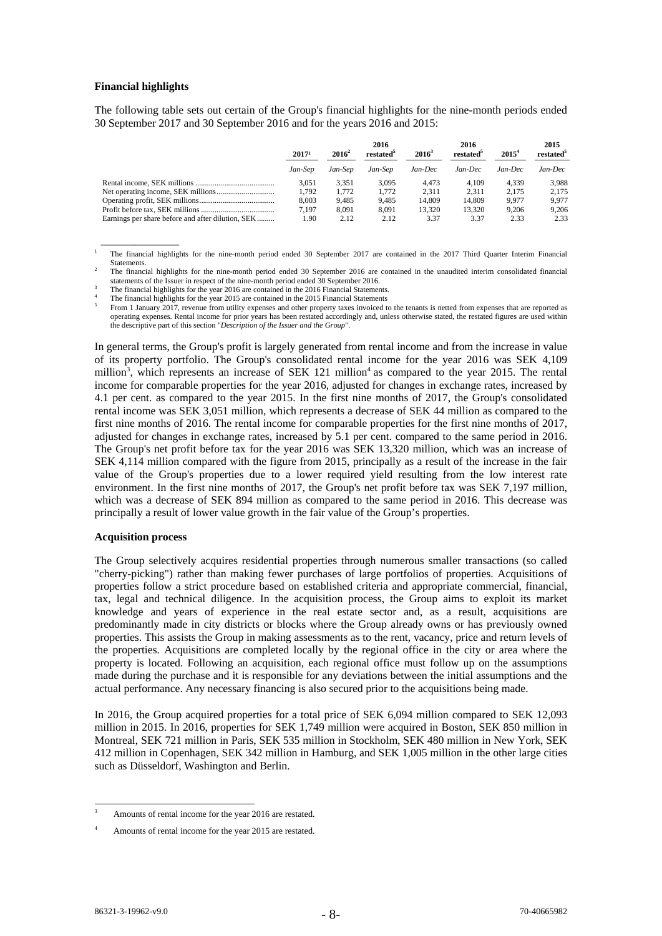## **Financial highlights**

 $\overline{\phantom{a}}$  , and the contract of the contract of  $\overline{\phantom{a}}$ 

The following table sets out certain of the Group's financial highlights for the nine-month periods ended 30 September 2017 and 30 September 2016 and for the years 2016 and 2015:

|                                                   | 2017 <sup>1</sup> | $2016^2$ |         | $2016^3$ | 2016<br>restated <sup>5</sup> | $2015^4$ | 2015<br>restated <sup>5</sup> |
|---------------------------------------------------|-------------------|----------|---------|----------|-------------------------------|----------|-------------------------------|
|                                                   | Jan-Sep           | Jan-Sep  | Jan-Sep | Jan-Dec  | Jan-Dec                       | Jan-Dec  | Jan-Dec                       |
|                                                   | 3.051             | 3.351    | 3.095   | 4.473    | 4.109                         | 4.339    | 3.988                         |
|                                                   | 1.792             | 1.772    | 1.772   | 2.311    | 2.311                         | 2.175    | 2.175                         |
|                                                   | 8.003             | 9.485    | 9.485   | 14.809   | 14.809                        | 9.977    | 9.977                         |
|                                                   | 7.197             | 8.091    | 8.091   | 13.320   | 13.320                        | 9.206    | 9.206                         |
| Earnings per share before and after dilution, SEK | .90               | 2.12     | 2.12    | 3.37     | 3.37                          | 2.33     | 2.33                          |

<sup>1</sup> The financial highlights for the nine-month period ended 30 September 2017 are contained in the 2017 Third Quarter Interim Financial Statements.

The financial highlights for the year 2015 are contained in the 2015 Financial Statements From 1 January 2017, revenue from utility expenses and other property taxes invoiced to the tenants is netted from expenses that are reported as operating expenses. Rental income for prior years has been restated accordingly and, unless otherwise stated, the restated figures are used within the descriptive part of this section "*Description of the Issuer and the Group*".

In general terms, the Group's profit is largely generated from rental income and from the increase in value of its property portfolio. The Group's consolidated rental income for the year 2016 was SEK 4,109 million<sup>3</sup>, which represents an increase of SEK 121 million<sup>4</sup> as compared to the year 2015. The rental income for comparable properties for the year 2016, adjusted for changes in exchange rates, increased by 4.1 per cent. as compared to the year 2015. In the first nine months of 2017, the Group's consolidated rental income was SEK 3,051 million, which represents a decrease of SEK 44 million as compared to the first nine months of 2016. The rental income for comparable properties for the first nine months of 2017, adjusted for changes in exchange rates, increased by 5.1 per cent. compared to the same period in 2016. The Group's net profit before tax for the year 2016 was SEK 13,320 million, which was an increase of SEK 4,114 million compared with the figure from 2015, principally as a result of the increase in the fair value of the Group's properties due to a lower required yield resulting from the low interest rate environment. In the first nine months of 2017, the Group's net profit before tax was SEK 7,197 million, which was a decrease of SEK 894 million as compared to the same period in 2016. This decrease was principally a result of lower value growth in the fair value of the Group's properties.

#### **Acquisition process**

The Group selectively acquires residential properties through numerous smaller transactions (so called "cherry-picking") rather than making fewer purchases of large portfolios of properties. Acquisitions of properties follow a strict procedure based on established criteria and appropriate commercial, financial, tax, legal and technical diligence. In the acquisition process, the Group aims to exploit its market knowledge and years of experience in the real estate sector and, as a result, acquisitions are predominantly made in city districts or blocks where the Group already owns or has previously owned properties. This assists the Group in making assessments as to the rent, vacancy, price and return levels of the properties. Acquisitions are completed locally by the regional office in the city or area where the property is located. Following an acquisition, each regional office must follow up on the assumptions made during the purchase and it is responsible for any deviations between the initial assumptions and the actual performance. Any necessary financing is also secured prior to the acquisitions being made.

In 2016, the Group acquired properties for a total price of SEK 6,094 million compared to SEK 12,093 million in 2015. In 2016, properties for SEK 1,749 million were acquired in Boston, SEK 850 million in Montreal, SEK 721 million in Paris, SEK 535 million in Stockholm, SEK 480 million in New York, SEK 412 million in Copenhagen, SEK 342 million in Hamburg, and SEK 1,005 million in the other large cities such as Düsseldorf, Washington and Berlin.

 $\overline{a}$ 

The financial highlights for the nine-month period ended 30 September 2016 are contained in the unaudited interim consolidated financial statements of the Issuer in respect of the nine-month period ended 30 September 2016.

The financial highlights for the year 2016 are contained in the 2016 Financial Statements.

<sup>3</sup> Amounts of rental income for the year 2016 are restated.

<sup>4</sup> Amounts of rental income for the year 2015 are restated.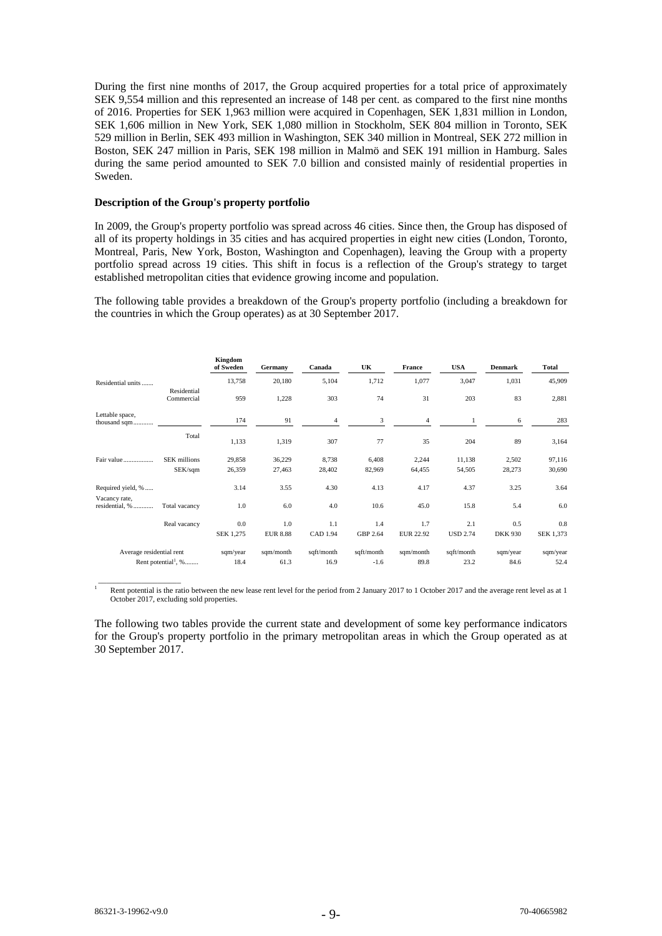During the first nine months of 2017, the Group acquired properties for a total price of approximately SEK 9,554 million and this represented an increase of 148 per cent. as compared to the first nine months of 2016. Properties for SEK 1,963 million were acquired in Copenhagen, SEK 1,831 million in London, SEK 1,606 million in New York, SEK 1,080 million in Stockholm, SEK 804 million in Toronto, SEK 529 million in Berlin, SEK 493 million in Washington, SEK 340 million in Montreal, SEK 272 million in Boston, SEK 247 million in Paris, SEK 198 million in Malmö and SEK 191 million in Hamburg. Sales during the same period amounted to SEK 7.0 billion and consisted mainly of residential properties in Sweden.

## **Description of the Group's property portfolio**

In 2009, the Group's property portfolio was spread across 46 cities. Since then, the Group has disposed of all of its property holdings in 35 cities and has acquired properties in eight new cities (London, Toronto, Montreal, Paris, New York, Boston, Washington and Copenhagen), leaving the Group with a property portfolio spread across 19 cities. This shift in focus is a reflection of the Group's strategy to target established metropolitan cities that evidence growing income and population.

The following table provides a breakdown of the Group's property portfolio (including a breakdown for the countries in which the Group operates) as at 30 September 2017.

|                                 |                                   | Kingdom<br>of Sweden | Germany         | Canada     | UK         | France           | <b>USA</b>      | <b>Denmark</b> | Total     |
|---------------------------------|-----------------------------------|----------------------|-----------------|------------|------------|------------------|-----------------|----------------|-----------|
| Residential units               |                                   | 13,758               | 20,180          | 5,104      | 1,712      | 1,077            | 3,047           | 1,031          | 45,909    |
|                                 | Residential<br>Commercial         | 959                  | 1,228           | 303        | 74         | 31               | 203             | 83             | 2,881     |
| Lettable space,<br>thousand sqm |                                   | 174                  | 91              | 4          | 3          | 4                | 1               | 6              | 283       |
|                                 | Total                             | 1,133                | 1,319           | 307        | 77         | 35               | 204             | 89             | 3,164     |
| Fair value                      | <b>SEK</b> millions               | 29,858               | 36,229          | 8,738      | 6,408      | 2,244            | 11,138          | 2,502          | 97,116    |
|                                 | SEK/sqm                           | 26,359               | 27,463          | 28,402     | 82,969     | 64,455           | 54,505          | 28,273         | 30,690    |
| Required yield, %               |                                   | 3.14                 | 3.55            | 4.30       | 4.13       | 4.17             | 4.37            | 3.25           | 3.64      |
| Vacancy rate,<br>residential, % | Total vacancy                     | 1.0                  | 6.0             | 4.0        | 10.6       | 45.0             | 15.8            | 5.4            | 6.0       |
|                                 | Real vacancy                      | 0.0                  | 1.0             | 1.1        | 1.4        | 1.7              | 2.1             | 0.5            | 0.8       |
|                                 |                                   | SEK 1,275            | <b>EUR 8.88</b> | CAD 1.94   | GBP 2.64   | <b>EUR 22.92</b> | <b>USD 2.74</b> | <b>DKK 930</b> | SEK 1,373 |
| Average residential rent        |                                   | sqm/year             | sqm/month       | sqft/month | sqft/month | sqm/month        | sqft/month      | sqm/year       | sqm/year  |
|                                 | Rent potential <sup>1</sup> , $%$ | 18.4                 | 61.3            | 16.9       | $-1.6$     | 89.8             | 23.2            | 84.6           | 52.4      |

1 Rent potential is the ratio between the new lease rent level for the period from 2 January 2017 to 1 October 2017 and the average rent level as at 1 October 2017, excluding sold properties.

The following two tables provide the current state and development of some key performance indicators for the Group's property portfolio in the primary metropolitan areas in which the Group operated as at 30 September 2017.

 $\overline{\phantom{a}}$  , we can also the contract of  $\overline{\phantom{a}}$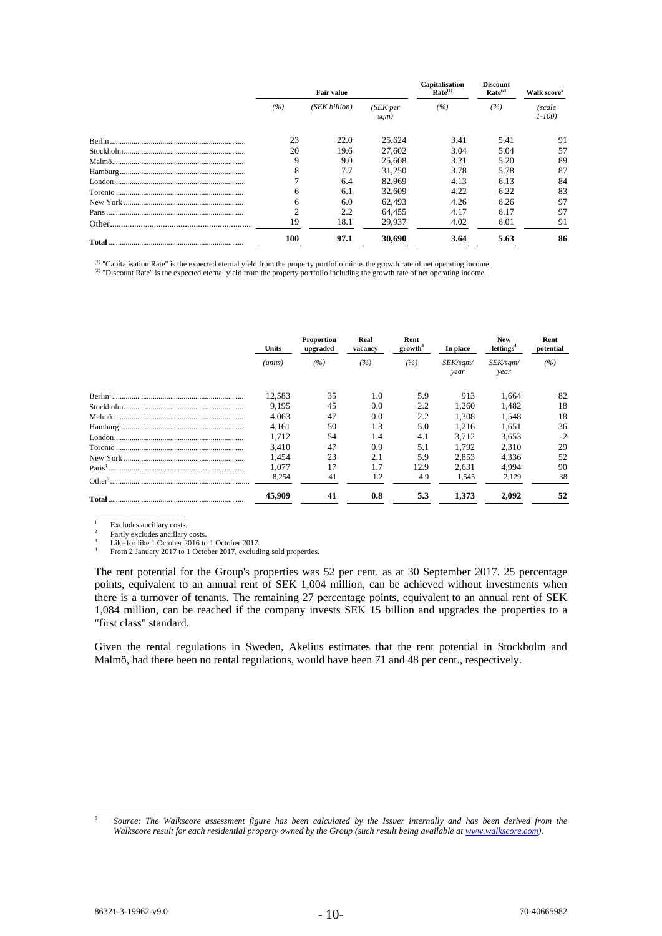|     | <b>Fair value</b> |                  | Capitalisation<br>Rate <sup>(1)</sup> | <b>Discount</b><br>Rate <sup>(2)</sup> | Walk score <sup>5</sup> |
|-----|-------------------|------------------|---------------------------------------|----------------------------------------|-------------------------|
| (%) | (SEK billion)     | (SEK per<br>sqm) | (%)                                   | (%)                                    | (scale<br>$1 - 100$     |
| 23  | 22.0              | 25,624           | 3.41                                  | 5.41                                   | 91                      |
| 20  | 19.6              | 27,602           | 3.04                                  | 5.04                                   | 57                      |
|     | 9.0               | 25,608           | 3.21                                  | 5.20                                   | 89                      |
|     | 7.7               | 31,250           | 3.78                                  | 5.78                                   | 87                      |
|     | 6.4               | 82,969           | 4.13                                  | 6.13                                   | 84                      |
| 6   | 6.1               | 32,609           | 4.22                                  | 6.22                                   | 83                      |
| 6   | 6.0               | 62.493           | 4.26                                  | 6.26                                   | 97                      |
|     | 2.2               | 64.455           | 4.17                                  | 6.17                                   | 97                      |
| 19  | 18.1              | 29.937           | 4.02                                  | 6.01                                   | 91                      |
| 100 | 97.1              | 30,690           | 3.64                                  | 5.63                                   | 86                      |

<sup>(1)</sup> "Capitalisation Rate" is the expected eternal yield from the property portfolio minus the growth rate of net operating income.<br><sup>(2)</sup> "Discount Rate" is the expected eternal yield from the property portfolio includin

|  | Units   | Proportion<br>upgraded |     | Real<br>vacancy  | Rent<br>growth <sup>3</sup> | In place         | <b>New</b><br>lettings <sup>4</sup> | Rent<br>potential |  |
|--|---------|------------------------|-----|------------------|-----------------------------|------------------|-------------------------------------|-------------------|--|
|  | (units) | (%)                    | (%) | (%)              | SEK/sqm/<br>year            | SEK/sqm/<br>year | (%)                                 |                   |  |
|  | 12,583  | 35                     | 1.0 | 5.9              | 913                         | 1.664            | 82                                  |                   |  |
|  | 9.195   | 45                     | 0.0 | 2.2              | 1.260                       | 1.482            | 18                                  |                   |  |
|  | 4.063   | 47                     | 0.0 | $2.2\phantom{0}$ | 1.308                       | 1,548            | 18                                  |                   |  |
|  | 4.161   | 50                     | 1.3 | 5.0              | 1.216                       | 1.651            | 36                                  |                   |  |
|  | 1.712   | 54                     | 1.4 | 4.1              | 3.712                       | 3,653            | $-2$                                |                   |  |
|  | 3.410   | 47                     | 0.9 | 5.1              | 1.792                       | 2,310            | 29                                  |                   |  |
|  | 1.454   | 23                     | 2.1 | 5.9              | 2.853                       | 4.336            | 52                                  |                   |  |
|  | 1.077   | 17                     | 1.7 | 12.9             | 2.631                       | 4.994            | 90                                  |                   |  |
|  | 8,254   | 41                     | 1.2 | 4.9              | 1,545                       | 2,129            | 38                                  |                   |  |
|  | 45,909  | 41                     | 0.8 | 5.3              | 1.373                       | 2.092            | 52                                  |                   |  |

 $\_$ 1  $\frac{1}{2}$  Excludes ancillary costs.

Partly excludes ancillary costs.

3 Like for like 1 October 2016 to 1 October 2017. 4

From 2 January 2017 to 1 October 2017, excluding sold properties.

The rent potential for the Group's properties was 52 per cent. as at 30 September 2017. 25 percentage points, equivalent to an annual rent of SEK 1,004 million, can be achieved without investments when there is a turnover of tenants. The remaining 27 percentage points, equivalent to an annual rent of SEK 1,084 million, can be reached if the company invests SEK 15 billion and upgrades the properties to a "first class" standard.

Given the rental regulations in Sweden, Akelius estimates that the rent potential in Stockholm and Malmö, had there been no rental regulations, would have been 71 and 48 per cent., respectively.

 $\overline{a}$ 

<sup>5</sup> Source: The Walkscore assessment figure has been calculated by the Issuer internally and has been derived from the *Walkscore result for each residential property owned by the Group (such result being available at www.walkscore.com).*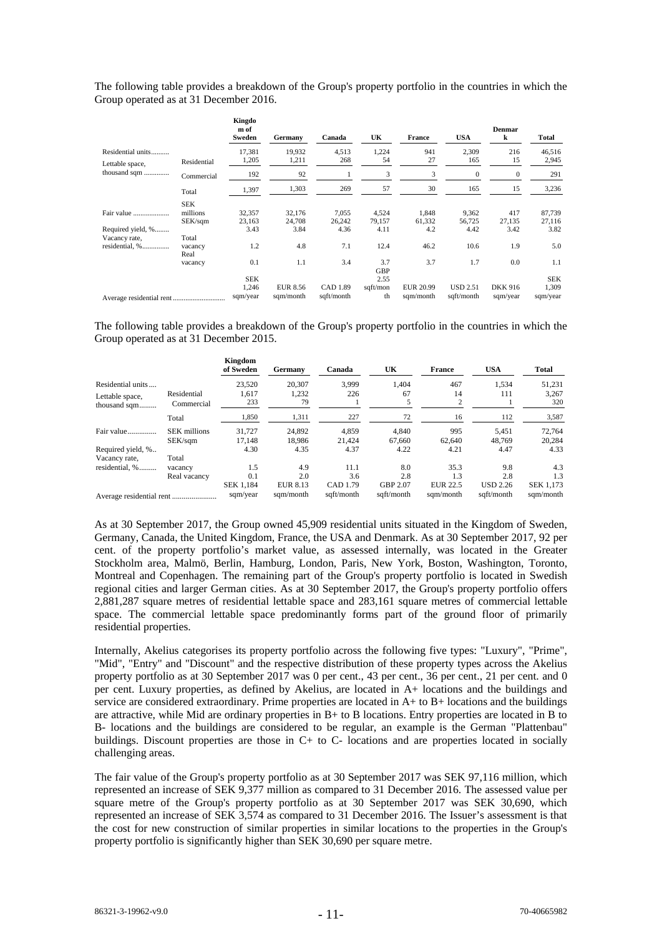The following table provides a breakdown of the Group's property portfolio in the countries in which the Group operated as at 31 December 2016.

|                                      |                                   | Kingdo<br>m of<br>Sweden        | Germany               | Canada                 | UK                     | <b>France</b>                 | <b>USA</b>                    | Denmar<br>k                | Total                           |
|--------------------------------------|-----------------------------------|---------------------------------|-----------------------|------------------------|------------------------|-------------------------------|-------------------------------|----------------------------|---------------------------------|
| Residential units<br>Lettable space, | Residential                       | 17,381<br>1,205                 | 19,932<br>1,211       | 4,513<br>268           | 1,224<br>54            | 941<br>27                     | 2,309<br>165                  | 216<br>15                  | 46,516<br>2,945                 |
| thousand sqm                         | Commercial                        | 192                             | 92                    |                        | 3                      | 3                             | $\mathbf{0}$                  | $\boldsymbol{0}$           | 291                             |
|                                      | Total                             | 1,397                           | 1,303                 | 269                    | 57                     | 30                            | 165                           | 15                         | 3,236                           |
| Fair value                           | <b>SEK</b><br>millions<br>SEK/sqm | 32,357<br>23,163                | 32,176<br>24,708      | 7,055<br>26,242        | 4,524<br>79,157        | 1,848<br>61,332               | 9,362<br>56,725               | 417<br>27,135              | 87,739<br>27,116                |
| Required yield, %                    |                                   | 3.43                            | 3.84                  | 4.36                   | 4.11                   | 4.2                           | 4.42                          | 3.42                       | 3.82                            |
| Vacancy rate,<br>residential, %      | Total<br>vacancy<br>Real          | 1.2                             | 4.8                   | 7.1                    | 12.4                   | 46.2                          | 10.6                          | 1.9                        | 5.0                             |
|                                      | vacancy                           | 0.1                             | 1.1                   | 3.4                    | 3.7<br><b>GBP</b>      | 3.7                           | 1.7                           | 0.0                        | 1.1                             |
|                                      |                                   | <b>SEK</b><br>1,246<br>sqm/year | EUR 8.56<br>sqm/month | CAD 1.89<br>sqft/month | 2.55<br>sqft/mon<br>th | <b>EUR 20.99</b><br>sqm/month | <b>USD 2.51</b><br>sqft/month | <b>DKK 916</b><br>sqm/year | <b>SEK</b><br>1,309<br>sqm/year |

The following table provides a breakdown of the Group's property portfolio in the countries in which the Group operated as at 31 December 2015.

|                   |                     | Kingdom<br>of Sweden | Germany   | Canada     | UK         | <b>France</b>   | <b>USA</b>      | <b>Total</b>     |
|-------------------|---------------------|----------------------|-----------|------------|------------|-----------------|-----------------|------------------|
| Residential units |                     | 23.520               | 20.307    | 3.999      | 1.404      | 467             | 1.534           | 51,231           |
| Lettable space,   | Residential         | 1.617                | 1.232     | 226        | 67         | 14              | 111             | 3.267            |
| thousand sqm      | Commercial          | 233                  | 79        |            |            | 2               |                 | 320              |
|                   | Total               | 1,850                | 1,311     | 227        | 72         | 16              | 112             | 3,587            |
| Fair value        | <b>SEK</b> millions | 31.727               | 24.892    | 4.859      | 4.840      | 995             | 5.451           | 72,764           |
|                   | SEK/sgm             | 17.148               | 18.986    | 21.424     | 67.660     | 62,640          | 48.769          | 20,284           |
| Required yield, % |                     | 4.30                 | 4.35      | 4.37       | 4.22       | 4.21            | 4.47            | 4.33             |
| Vacancy rate,     | Total               |                      |           |            |            |                 |                 |                  |
| residential, %    | vacancy             | 1.5                  | 4.9       | 11.1       | 8.0        | 35.3            | 9.8             | 4.3              |
|                   | Real vacancy        | 0.1                  | 2.0       | 3.6        | 2.8        | 1.3             | 2.8             | 1.3              |
|                   |                     | SEK 1,184            | EUR 8.13  | CAD 1.79   | GBP 2.07   | <b>EUR 22.5</b> | <b>USD 2.26</b> | <b>SEK 1.173</b> |
|                   |                     | sqm/year             | sam/month | sqft/month | saft/month | sam/month       | saft/month      | sam/month        |

As at 30 September 2017, the Group owned 45,909 residential units situated in the Kingdom of Sweden, Germany, Canada, the United Kingdom, France, the USA and Denmark. As at 30 September 2017, 92 per cent. of the property portfolio's market value, as assessed internally, was located in the Greater Stockholm area, Malmö, Berlin, Hamburg, London, Paris, New York, Boston, Washington, Toronto, Montreal and Copenhagen. The remaining part of the Group's property portfolio is located in Swedish regional cities and larger German cities. As at 30 September 2017, the Group's property portfolio offers 2,881,287 square metres of residential lettable space and 283,161 square metres of commercial lettable space. The commercial lettable space predominantly forms part of the ground floor of primarily residential properties.

Internally, Akelius categorises its property portfolio across the following five types: "Luxury", "Prime", "Mid", "Entry" and "Discount" and the respective distribution of these property types across the Akelius property portfolio as at 30 September 2017 was 0 per cent., 43 per cent., 36 per cent., 21 per cent. and 0 per cent. Luxury properties, as defined by Akelius, are located in A+ locations and the buildings and service are considered extraordinary. Prime properties are located in  $A$  + to  $B$  + locations and the buildings are attractive, while Mid are ordinary properties in B+ to B locations. Entry properties are located in B to B- locations and the buildings are considered to be regular, an example is the German "Plattenbau" buildings. Discount properties are those in C+ to C- locations and are properties located in socially challenging areas.

The fair value of the Group's property portfolio as at 30 September 2017 was SEK 97,116 million, which represented an increase of SEK 9,377 million as compared to 31 December 2016. The assessed value per square metre of the Group's property portfolio as at 30 September 2017 was SEK 30,690, which represented an increase of SEK 3,574 as compared to 31 December 2016. The Issuer's assessment is that the cost for new construction of similar properties in similar locations to the properties in the Group's property portfolio is significantly higher than SEK 30,690 per square metre.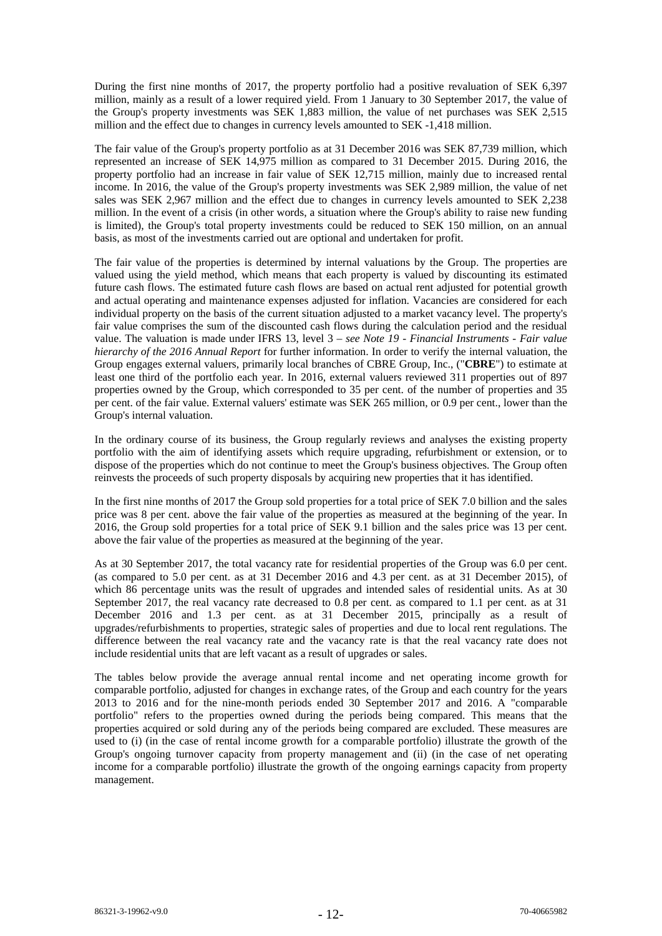During the first nine months of 2017, the property portfolio had a positive revaluation of SEK 6,397 million, mainly as a result of a lower required yield. From 1 January to 30 September 2017, the value of the Group's property investments was SEK 1,883 million, the value of net purchases was SEK 2,515 million and the effect due to changes in currency levels amounted to SEK -1,418 million.

The fair value of the Group's property portfolio as at 31 December 2016 was SEK 87,739 million, which represented an increase of SEK 14,975 million as compared to 31 December 2015. During 2016, the property portfolio had an increase in fair value of SEK 12,715 million, mainly due to increased rental income. In 2016, the value of the Group's property investments was SEK 2,989 million, the value of net sales was SEK 2,967 million and the effect due to changes in currency levels amounted to SEK 2,238 million. In the event of a crisis (in other words, a situation where the Group's ability to raise new funding is limited), the Group's total property investments could be reduced to SEK 150 million, on an annual basis, as most of the investments carried out are optional and undertaken for profit.

The fair value of the properties is determined by internal valuations by the Group. The properties are valued using the yield method, which means that each property is valued by discounting its estimated future cash flows. The estimated future cash flows are based on actual rent adjusted for potential growth and actual operating and maintenance expenses adjusted for inflation. Vacancies are considered for each individual property on the basis of the current situation adjusted to a market vacancy level. The property's fair value comprises the sum of the discounted cash flows during the calculation period and the residual value. The valuation is made under IFRS 13, level 3 – *see Note 19 - Financial Instruments - Fair value hierarchy of the 2016 Annual Report* for further information. In order to verify the internal valuation, the Group engages external valuers, primarily local branches of CBRE Group, Inc., ("**CBRE**") to estimate at least one third of the portfolio each year. In 2016, external valuers reviewed 311 properties out of 897 properties owned by the Group, which corresponded to 35 per cent. of the number of properties and 35 per cent. of the fair value. External valuers' estimate was SEK 265 million, or 0.9 per cent., lower than the Group's internal valuation.

In the ordinary course of its business, the Group regularly reviews and analyses the existing property portfolio with the aim of identifying assets which require upgrading, refurbishment or extension, or to dispose of the properties which do not continue to meet the Group's business objectives. The Group often reinvests the proceeds of such property disposals by acquiring new properties that it has identified.

In the first nine months of 2017 the Group sold properties for a total price of SEK 7.0 billion and the sales price was 8 per cent. above the fair value of the properties as measured at the beginning of the year. In 2016, the Group sold properties for a total price of SEK 9.1 billion and the sales price was 13 per cent. above the fair value of the properties as measured at the beginning of the year.

As at 30 September 2017, the total vacancy rate for residential properties of the Group was 6.0 per cent. (as compared to 5.0 per cent. as at 31 December 2016 and 4.3 per cent. as at 31 December 2015), of which 86 percentage units was the result of upgrades and intended sales of residential units. As at 30 September 2017, the real vacancy rate decreased to 0.8 per cent. as compared to 1.1 per cent. as at 31 December 2016 and 1.3 per cent. as at 31 December 2015, principally as a result of upgrades/refurbishments to properties, strategic sales of properties and due to local rent regulations. The difference between the real vacancy rate and the vacancy rate is that the real vacancy rate does not include residential units that are left vacant as a result of upgrades or sales.

The tables below provide the average annual rental income and net operating income growth for comparable portfolio, adjusted for changes in exchange rates, of the Group and each country for the years 2013 to 2016 and for the nine-month periods ended 30 September 2017 and 2016. A "comparable portfolio" refers to the properties owned during the periods being compared. This means that the properties acquired or sold during any of the periods being compared are excluded. These measures are used to (i) (in the case of rental income growth for a comparable portfolio) illustrate the growth of the Group's ongoing turnover capacity from property management and (ii) (in the case of net operating income for a comparable portfolio) illustrate the growth of the ongoing earnings capacity from property management.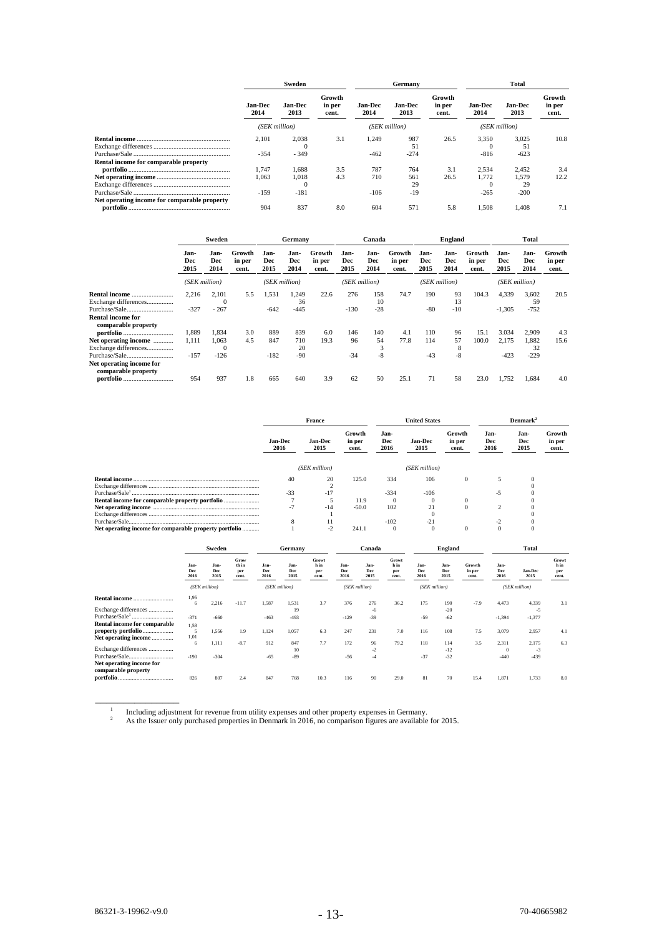|                                              |                 | Sweden                 |                           |                        | Germany                |                           | Total                  |                        |                           |  |
|----------------------------------------------|-----------------|------------------------|---------------------------|------------------------|------------------------|---------------------------|------------------------|------------------------|---------------------------|--|
|                                              | Jan-Dec<br>2014 | <b>Jan-Dec</b><br>2013 | Growth<br>in per<br>cent. | <b>Jan-Dec</b><br>2014 | <b>Jan-Dec</b><br>2013 | Growth<br>in per<br>cent. | <b>Jan-Dec</b><br>2014 | <b>Jan-Dec</b><br>2013 | Growth<br>in per<br>cent. |  |
|                                              |                 | (SEK million)          |                           |                        | (SEK million)          |                           | (SEK million)          |                        |                           |  |
|                                              | 2,101<br>$-354$ | 2,038<br>$-349$        | 3.1                       | 1.249<br>$-462$        | 987<br>51<br>$-274$    | 26.5                      | 3.350<br>$-816$        | 3,025<br>51<br>$-623$  | 10.8                      |  |
| Rental income for comparable property        | 1.747<br>1.063  | 1.688<br>1.018         | 3.5<br>4.3                | 787<br>710             | 764<br>561             | 3.1<br>26.5               | 2.534<br>1.772         | 2.452<br>1.579         | 3.4<br>12.2               |  |
|                                              | $-159$          | $-181$                 |                           | $-106$                 | 29<br>$-19$            |                           | $-265$                 | 29<br>$-200$           |                           |  |
| Net operating income for comparable property | 904             | 837                    | 8.0                       | 604                    | 571                    | 5.8                       | 1,508                  | 1.408                  | 7.1                       |  |

|                                              | Sweden              |                     | Germany                   |                     |                     | Canada                    |                     |                     | <b>England</b>            |                     |                     | <b>Total</b>              |                     |                     |                           |
|----------------------------------------------|---------------------|---------------------|---------------------------|---------------------|---------------------|---------------------------|---------------------|---------------------|---------------------------|---------------------|---------------------|---------------------------|---------------------|---------------------|---------------------------|
|                                              | Jan-<br>Dec<br>2015 | Jan-<br>Dec<br>2014 | Growth<br>in per<br>cent. | Jan-<br>Dec<br>2015 | Jan-<br>Dec<br>2014 | Growth<br>in per<br>cent. | Jan-<br>Dec<br>2015 | Jan-<br>Dec<br>2014 | Growth<br>in per<br>cent. | Jan-<br>Dec<br>2015 | Jan-<br>Dec<br>2014 | Growth<br>in per<br>cent. | Jan-<br>Dec<br>2015 | Jan-<br>Dec<br>2014 | Growth<br>in per<br>cent. |
|                                              | (SEK million)       |                     |                           | (SEK million)       |                     | (SEK million)             |                     |                     | (SEK million)             |                     | (SEK million)       |                           |                     |                     |                           |
| Exchange differences                         | 2,216               | 2.101<br>$\Omega$   | 5.5                       | 1,531               | 1.249<br>36         | 22.6                      | 276                 | 158<br>10           | 74.7                      | 190                 | 93<br>13            | 104.3                     | 4,339               | 3,602<br>59         | 20.5                      |
| <b>Rental income for</b>                     | $-327$              | $-267$              |                           | $-642$              | $-445$              |                           | $-130$              | $-28$               |                           | $-80$               | $-10$               |                           | $-1,305$            | $-752$              |                           |
| comparable property                          | 1.889               | 1.834               | 3.0                       | 889                 | 839                 | 6.0                       | 146                 | 140                 | 4.1                       | 110                 | 96                  | 15.1                      | 3.034               | 2.909               | 4.3                       |
| Net operating income<br>Exchange differences | 1,111               | 1,063<br>0          | 4.5                       | 847                 | 710<br>20           | 19.3                      | 96                  | 54<br>3             | 77.8                      | 114                 | 57<br>8             | 100.0                     | 2,175               | 1,882<br>32         | 15.6                      |
| Purchase/Sale<br>Net operating income for    | $-157$              | $-126$              |                           | $-182$              | $-90$               |                           | $-34$               | $-8$                |                           | $-43$               | -8                  |                           | $-423$              | $-229$              |                           |
| comparable property<br><b>portfolio</b>      | 954                 | 937                 | 1.8                       | 665                 | 640                 | 3.9                       | 62                  | 50                  | 25.1                      | 71                  | 58                  | 23.0                      | 1.752               | 1.684               | 4.0                       |

|                                                        |                          | France                 |                           |                     | <b>United States</b>   |                           | <b>Denmark</b> <sup>2</sup> |                     |                           |  |
|--------------------------------------------------------|--------------------------|------------------------|---------------------------|---------------------|------------------------|---------------------------|-----------------------------|---------------------|---------------------------|--|
|                                                        | <b>Jan-Dec</b><br>2016   | <b>Jan-Dec</b><br>2015 | Growth<br>in per<br>cent. | Jan-<br>Dec<br>2016 | <b>Jan-Dec</b><br>2015 | Growth<br>in per<br>cent. | Jan-<br>Dec<br>2016         | Jan-<br>Dec<br>2015 | Growth<br>in per<br>cent. |  |
|                                                        |                          | (SEK million)          |                           |                     | (SEK million)          |                           |                             |                     |                           |  |
| Rental income.                                         | 40                       | 20                     | 125.0                     | 334                 | 106                    |                           |                             |                     |                           |  |
|                                                        |                          |                        |                           |                     |                        |                           |                             |                     |                           |  |
|                                                        | $-33$                    | $-17$                  |                           | $-334$              | $-106$                 |                           | -5                          |                     |                           |  |
|                                                        |                          |                        | 11.9                      |                     |                        |                           |                             |                     |                           |  |
|                                                        | $\overline{\phantom{a}}$ | $-14$                  | $-50.0$                   | 102                 | 21                     |                           |                             |                     |                           |  |
|                                                        |                          |                        |                           |                     |                        |                           |                             |                     |                           |  |
|                                                        | х                        |                        |                           | $-102$              | $-21$                  |                           |                             |                     |                           |  |
| Net operating income for comparable property portfolio |                          | $-2$                   | 241.1                     | 0                   |                        |                           | $\Omega$                    |                     |                           |  |

|                                                                   | Sweden              |                     | Germany                       |                     | Canada              |                              | England             |                     |                               | Total               |                     |                           |                     |                 |                               |
|-------------------------------------------------------------------|---------------------|---------------------|-------------------------------|---------------------|---------------------|------------------------------|---------------------|---------------------|-------------------------------|---------------------|---------------------|---------------------------|---------------------|-----------------|-------------------------------|
|                                                                   | Jan-<br>Dec<br>2016 | Jan-<br>Dec<br>2015 | Grow<br>th in<br>per<br>cent. | Jan-<br>Dec<br>2016 | Jan-<br>Dec<br>2015 | Growt<br>hin<br>per<br>cent. | Jan-<br>Dec<br>2016 | Jan-<br>Dec<br>2015 | Growt<br>h in<br>per<br>cent. | Jan-<br>Dec<br>2016 | Jan-<br>Dec<br>2015 | Growth<br>in per<br>cent. | Jan-<br>Dec<br>2016 | Jan-Dec<br>2015 | Growt<br>h in<br>per<br>cent. |
|                                                                   |                     | (SEK million)       |                               |                     | (SEK million)       |                              | (SEK million)       |                     |                               | (SEK million)       |                     |                           |                     | (SEK million)   |                               |
| <b>Rental income</b>                                              | 1.95<br>6           | 2,216               | $-11.7$                       | 1,587               | 1.531               | 3.7                          | 376                 | 276                 | 36.2                          | 175                 | 190                 | $-7.9$                    | 4.473               | 4,339           | 3.1                           |
| Exchange differences                                              | $-371$              | $-660$              |                               | $-463$              | 19<br>$-493$        |                              | $-129$              | $-6$<br>$-39$       |                               | $-59$               | $-20$<br>$-62$      |                           | $-1,394$            | -5<br>$-1,377$  |                               |
| Rental income for comparable<br>property portfolio                | 1.58<br>5           | 1,556               | 1.9                           | 1,124               | 1.057               | 6.3                          | 247                 | 231                 | 7.0                           | 116                 | 108                 | 7.5                       | 3,079               | 2,957           | 4.1                           |
| Net operating income                                              | 1,01<br>6           | 1,111               | $-8.7$                        | 912                 | 847                 | 7.7                          | 172                 | 96                  | 79.2                          | 118                 | 114                 | 3.5                       | 2,311               | 2,175           | 6.3                           |
| Exchange differences<br>Purchase/Sale<br>Net operating income for | $-190$              | $-304$              |                               | $-65$               | 10<br>$-89$         |                              | $-56$               | $-2$<br>$-4$        |                               | $-37$               | $-12$<br>$-32$      |                           | $\Omega$<br>$-440$  | $-3$<br>$-439$  |                               |
| comparable property                                               | 826                 | 807                 | 2.4                           | 847                 | 768                 | 10.3                         | 116                 | 90                  | 29.0                          | 81                  | 70                  | 15.4                      | 1,871               | 1,733           | 8.0                           |

**The Experiment of revenue from utility expenses and other property expenses in Germany.**  $\begin{array}{c} 1 \\ 2 \end{array}$ 

As the Issuer only purchased properties in Denmark in 2016, no comparison figures are available for 2015.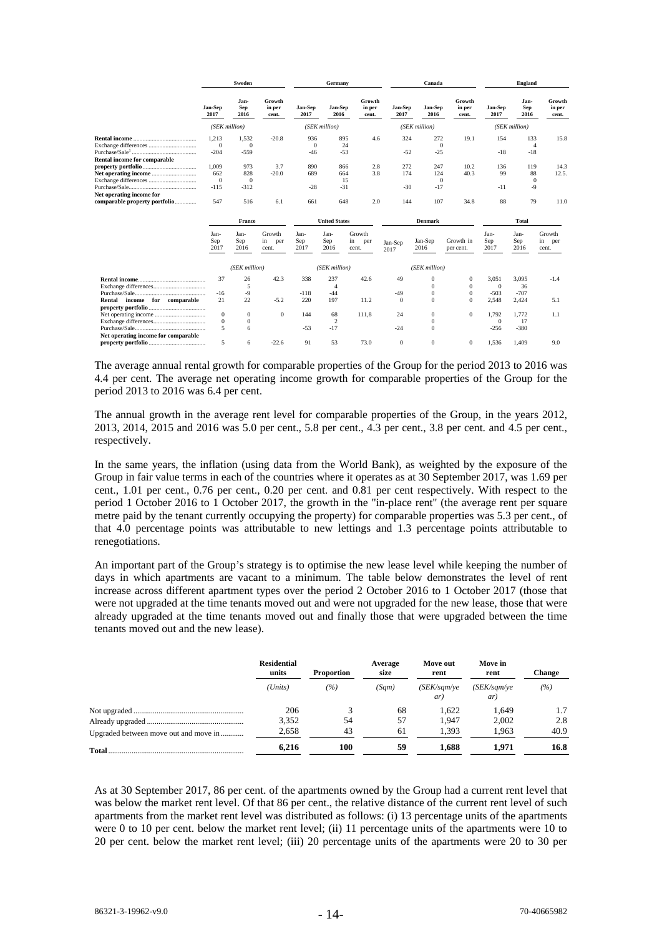|                                     |                 | Sweden                     |                           |                 | Germany              |                           |                 | Canada          |                           | <b>England</b>  |                     |                           |
|-------------------------------------|-----------------|----------------------------|---------------------------|-----------------|----------------------|---------------------------|-----------------|-----------------|---------------------------|-----------------|---------------------|---------------------------|
|                                     | Jan-Sep<br>2017 | Jan-<br><b>Sep</b><br>2016 | Growth<br>in per<br>cent. | Jan-Sep<br>2017 | Jan-Sep<br>2016      | Growth<br>in per<br>cent. | Jan-Sep<br>2017 | Jan-Sep<br>2016 | Growth<br>in per<br>cent. | Jan-Sep<br>2017 | Jan-<br>Sep<br>2016 | Growth<br>in per<br>cent. |
|                                     | (SEK million)   |                            |                           |                 | (SEK million)        |                           |                 | (SEK million)   |                           | (SEK million)   |                     |                           |
|                                     | 1.213           | 1.532                      | $-20.8$                   | 936             | 895                  | 4.6                       | 324             | 272             | 19.1                      | 154             | 133                 | 15.8                      |
|                                     | $\Omega$        | $\Omega$                   |                           | $\Omega$        |                      | 24                        |                 | $\Omega$        |                           |                 | $\overline{4}$      |                           |
|                                     | $-204$          | $-559$                     |                           | $-46$           | $-53$                |                           | $-52$           | $-25$           |                           | $-18$           | $-18$               |                           |
| Rental income for comparable        |                 |                            |                           |                 |                      |                           |                 |                 |                           |                 |                     |                           |
|                                     | 1.009           | 973                        | 3.7                       | 890             | 866                  | 2.8                       | 272             | 247             | 10.2                      | 136             | 119                 | 14.3                      |
|                                     | 662             | 828                        | $-20.0$                   | 689             | 664                  | 3.8                       | 174             | 124             | 40.3                      | 99              | 88                  | 12.5.                     |
|                                     | $\overline{0}$  | $\Omega$                   |                           |                 |                      | 15                        |                 | $\Omega$        |                           |                 | $\Omega$            |                           |
|                                     | $-115$          | $-312$                     |                           | $-28$           | $-31$                |                           | $-30$           | $-17$           |                           | $-11$           | -9                  |                           |
| Net operating income for            |                 |                            |                           |                 |                      |                           |                 |                 |                           |                 |                     |                           |
| comparable property portfolio       | 547             | 516                        | 6.1                       | 661             | 648                  | 2.0                       | 144             | 107             | 34.8                      | 88              | 79                  | 11.0                      |
|                                     |                 | France                     |                           |                 | <b>United States</b> |                           |                 | <b>Denmark</b>  |                           |                 | Total               |                           |
|                                     | Jan-            | Jan-                       | Growth                    | Jan-            | Jan-                 | Growth                    |                 |                 |                           | Jan-            | Jan-                | Growth                    |
|                                     | Sep<br>2017     | Sep<br>2016                | in<br>per<br>cent.        | Sep<br>2017     | Sep<br>2016          | in<br>per<br>cent.        | Jan-Sep<br>2017 | Jan-Sep<br>2016 | Growth in<br>per cent.    | Sep<br>2017     | Sep<br>2016         | in<br>per<br>cent.        |
|                                     |                 | (SEK million)              |                           |                 | (SEK million)        |                           |                 | (SEK million)   |                           |                 |                     |                           |
|                                     | 37              | 26                         | 42.3                      | 338             | 237                  | 42.6                      | 49              | $\mathbf{0}$    | $\mathbf{0}$              | 3,051           | 3,095               | $-1.4$                    |
|                                     |                 | 5                          |                           |                 | 4                    |                           |                 | $\Omega$        | $\Omega$                  | $\Omega$        | 36                  |                           |
|                                     | $-16$           | $-9$                       |                           | $-118$          | $-44$                |                           | $-49$           | $\Omega$        | $\Omega$                  | $-503$          | $-707$              |                           |
| income for comparable<br>Rental     | 21              | 22                         | $-5.2$                    | 220             | 197                  | 11.2                      | $\theta$        | $\Omega$        | $\Omega$                  | 2.548           | 2,424               | 5.1                       |
|                                     |                 |                            |                           |                 |                      |                           |                 |                 |                           |                 |                     |                           |
|                                     | $\mathbf{0}$    | $\mathbf{0}$               | $\Omega$                  | 144             | 68                   | 111,8                     | 24              | $\Omega$        | $\Omega$                  | 1,792           | 1.772               | 1.1                       |
|                                     | $\mathbf{0}$    | $\mathbf{0}$               |                           |                 | $\overline{c}$       |                           |                 | $\mathbf{0}$    |                           | $\Omega$        | 17                  |                           |
|                                     | 5               | 6                          |                           | $-53$           | $-17$                |                           | $-24$           | $\Omega$        |                           | $-256$          | $-380$              |                           |
| Net operating income for comparable |                 |                            |                           |                 |                      |                           |                 |                 |                           |                 |                     |                           |
|                                     | 5               | 6                          | $-22.6$                   | 91              | 53                   | 73.0                      | $\Omega$        | $\Omega$        | $\Omega$                  | 1.536           | 1.409               | 9.0                       |
|                                     |                 |                            |                           |                 |                      |                           |                 |                 |                           |                 |                     |                           |

The average annual rental growth for comparable properties of the Group for the period 2013 to 2016 was 4.4 per cent. The average net operating income growth for comparable properties of the Group for the period 2013 to 2016 was 6.4 per cent.

The annual growth in the average rent level for comparable properties of the Group, in the years 2012, 2013, 2014, 2015 and 2016 was 5.0 per cent., 5.8 per cent., 4.3 per cent., 3.8 per cent. and 4.5 per cent., respectively.

In the same years, the inflation (using data from the World Bank), as weighted by the exposure of the Group in fair value terms in each of the countries where it operates as at 30 September 2017, was 1.69 per cent., 1.01 per cent., 0.76 per cent., 0.20 per cent. and 0.81 per cent respectively. With respect to the period 1 October 2016 to 1 October 2017, the growth in the "in-place rent" (the average rent per square metre paid by the tenant currently occupying the property) for comparable properties was 5.3 per cent., of that 4.0 percentage points was attributable to new lettings and 1.3 percentage points attributable to renegotiations.

An important part of the Group's strategy is to optimise the new lease level while keeping the number of days in which apartments are vacant to a minimum. The table below demonstrates the level of rent increase across different apartment types over the period 2 October 2016 to 1 October 2017 (those that were not upgraded at the time tenants moved out and were not upgraded for the new lease, those that were already upgraded at the time tenants moved out and finally those that were upgraded between the time tenants moved out and the new lease).

|                                       | <b>Residential</b><br>units | <b>Proportion</b> | Average<br>size | Move out<br>rent                          | Move in<br>rent                    | Change |
|---------------------------------------|-----------------------------|-------------------|-----------------|-------------------------------------------|------------------------------------|--------|
|                                       | (Units)                     | (%)               | (Sam)           | $(SEK\_\mathit{sam}\_\mathit{ve})$<br>ar) | $(SEK\_\mathit{sam\vee e})$<br>ar) | (%)    |
|                                       | 206                         |                   | 68              | 1.622                                     | 1.649                              | 1.7    |
|                                       | 3,352                       | 54                | 57              | 1.947                                     | 2.002                              | 2.8    |
| Upgraded between move out and move in | 2,658                       | 43                | 61              | 1.393                                     | 1.963                              | 40.9   |
|                                       | 6.216                       | 100               | 59              | 1.688                                     | 1.971                              | 16.8   |

As at 30 September 2017, 86 per cent. of the apartments owned by the Group had a current rent level that was below the market rent level. Of that 86 per cent., the relative distance of the current rent level of such apartments from the market rent level was distributed as follows: (i) 13 percentage units of the apartments were 0 to 10 per cent. below the market rent level; (ii) 11 percentage units of the apartments were 10 to 20 per cent. below the market rent level; (iii) 20 percentage units of the apartments were 20 to 30 per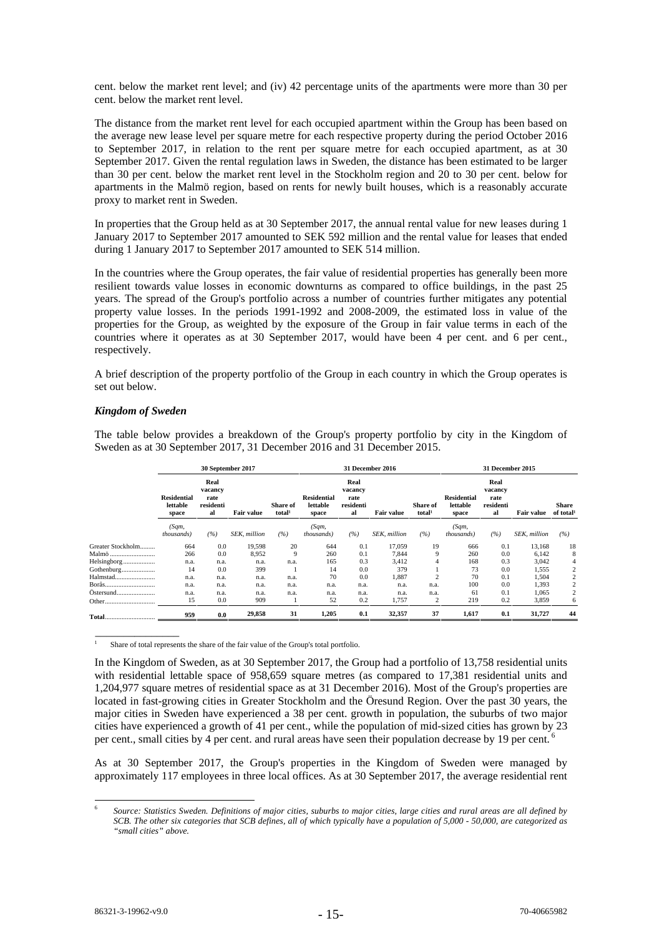cent. below the market rent level; and (iv) 42 percentage units of the apartments were more than 30 per cent. below the market rent level.

The distance from the market rent level for each occupied apartment within the Group has been based on the average new lease level per square metre for each respective property during the period October 2016 to September 2017, in relation to the rent per square metre for each occupied apartment, as at 30 September 2017. Given the rental regulation laws in Sweden, the distance has been estimated to be larger than 30 per cent. below the market rent level in the Stockholm region and 20 to 30 per cent. below for apartments in the Malmö region, based on rents for newly built houses, which is a reasonably accurate proxy to market rent in Sweden.

In properties that the Group held as at 30 September 2017, the annual rental value for new leases during 1 January 2017 to September 2017 amounted to SEK 592 million and the rental value for leases that ended during 1 January 2017 to September 2017 amounted to SEK 514 million.

In the countries where the Group operates, the fair value of residential properties has generally been more resilient towards value losses in economic downturns as compared to office buildings, in the past 25 years. The spread of the Group's portfolio across a number of countries further mitigates any potential property value losses. In the periods 1991-1992 and 2008-2009, the estimated loss in value of the properties for the Group, as weighted by the exposure of the Group in fair value terms in each of the countries where it operates as at 30 September 2017, would have been 4 per cent. and 6 per cent., respectively.

A brief description of the property portfolio of the Group in each country in which the Group operates is set out below.

## *Kingdom of Sweden*

\_\_\_\_\_\_\_\_\_\_\_\_\_\_\_

The table below provides a breakdown of the Group's property portfolio by city in the Kingdom of Sweden as at 30 September 2017, 31 December 2016 and 31 December 2015.

|                                                                                                                                                                                                                                                                                                                                                                                                                                                                                                                                                       |                                         | 30 September 2017                          |                   |                                       |                                         | 31 December 2016                           |                   |                                       |                                         | <b>31 December 2015</b>                    |                   |                                |  |
|-------------------------------------------------------------------------------------------------------------------------------------------------------------------------------------------------------------------------------------------------------------------------------------------------------------------------------------------------------------------------------------------------------------------------------------------------------------------------------------------------------------------------------------------------------|-----------------------------------------|--------------------------------------------|-------------------|---------------------------------------|-----------------------------------------|--------------------------------------------|-------------------|---------------------------------------|-----------------------------------------|--------------------------------------------|-------------------|--------------------------------|--|
|                                                                                                                                                                                                                                                                                                                                                                                                                                                                                                                                                       | <b>Residential</b><br>lettable<br>space | Real<br>vacancv<br>rate<br>residenti<br>al | <b>Fair value</b> | <b>Share of</b><br>total <sup>1</sup> | <b>Residential</b><br>lettable<br>space | Real<br>vacancy<br>rate<br>residenti<br>al | <b>Fair value</b> | <b>Share of</b><br>total <sup>1</sup> | <b>Residential</b><br>lettable<br>space | Real<br>vacancy<br>rate<br>residenti<br>al | <b>Fair value</b> | Share<br>of total <sup>1</sup> |  |
|                                                                                                                                                                                                                                                                                                                                                                                                                                                                                                                                                       | (Sqm,<br><i>thousands</i> )             | (%)                                        | SEK, million      | (%)                                   | (Sqm,<br><i>thousands</i> )             | (%)                                        | SEK, million      | (%)                                   | (Sqm,<br><i>thousands</i> )             | (%)                                        | SEK, million      | (%)                            |  |
| Greater Stockholm                                                                                                                                                                                                                                                                                                                                                                                                                                                                                                                                     | 664                                     | 0.0                                        | 19,598            | 20                                    | 644                                     | 0.1                                        | 17,059            | 19                                    | 666                                     | 0.1                                        | 13,168            | 18                             |  |
| Malmö                                                                                                                                                                                                                                                                                                                                                                                                                                                                                                                                                 | 266                                     | 0.0                                        | 8,952             | 9                                     | 260                                     | 0.1                                        | 7,844             | 9                                     | 260                                     | 0.0                                        | 6,142             | 8                              |  |
| Helsingborg                                                                                                                                                                                                                                                                                                                                                                                                                                                                                                                                           | n.a.                                    | n.a.                                       | n.a.              | n.a.                                  | 165                                     | 0.3                                        | 3,412             | 4                                     | 168                                     | 0.3                                        | 3,042             | 4                              |  |
| Gothenburg                                                                                                                                                                                                                                                                                                                                                                                                                                                                                                                                            | 14                                      | 0.0                                        | 399               |                                       | 14                                      | 0.0                                        | 379               |                                       | 73                                      | 0.0                                        | 1,555             |                                |  |
| Halmstad                                                                                                                                                                                                                                                                                                                                                                                                                                                                                                                                              | n.a.                                    | n.a.                                       | n.a.              | n.a.                                  | 70                                      | 0.0                                        | 1,887             | $\overline{c}$                        | 70                                      | 0.1                                        | 1,504             | 2                              |  |
|                                                                                                                                                                                                                                                                                                                                                                                                                                                                                                                                                       | n.a.                                    | n.a.                                       | n.a.              | n.a.                                  | n.a.                                    | n.a.                                       | n.a.              | n.a.                                  | 100                                     | 0.0                                        | 1,393             | 2                              |  |
| Ostersund                                                                                                                                                                                                                                                                                                                                                                                                                                                                                                                                             | n.a.                                    | n.a.                                       | n.a.              | n.a.                                  | n.a.                                    | n.a.                                       | n.a.              | n.a.                                  | 61                                      | 0.1                                        | 1,065             | 2                              |  |
| Other.<br>                                                                                                                                                                                                                                                                                                                                                                                                                                                                                                                                            | 15                                      | 0.0                                        | 909               |                                       | 52                                      | 0.2                                        | 1,757             | 2                                     | 219                                     | 0.2                                        | 3,859             | 6                              |  |
| $\textbf{Total} \textcolor{red}{\bm{\ldots}} \textcolor{red}{\bm{\ldots}} \textcolor{red}{\bm{\ldots}} \textcolor{red}{\bm{\ldots}} \textcolor{red}{\bm{\ldots}} \textcolor{red}{\bm{\ldots}} \textcolor{red}{\bm{\ldots}} \textcolor{red}{\bm{\ldots}} \textcolor{red}{\bm{\ldots}} \textcolor{red}{\bm{\ldots}} \textcolor{red}{\bm{\ldots}} \textcolor{red}{\bm{\ldots}} \textcolor{red}{\bm{\ldots}} \textcolor{red}{\bm{\ldots}} \textcolor{red}{\bm{\ldots}} \textcolor{red}{\bm{\ldots}} \textcolor{red}{\bm{\ldots}} \textcolor{red}{\bm{\ld$ | 959                                     | 0.0                                        | 29,858            | 31                                    | 1,205                                   | 0.1                                        | 32,357            | 37                                    | 1,617                                   | 0.1                                        | 31,727            | 44                             |  |

1 Share of total represents the share of the fair value of the Group's total portfolio.

In the Kingdom of Sweden, as at 30 September 2017, the Group had a portfolio of 13,758 residential units with residential lettable space of 958,659 square metres (as compared to 17,381 residential units and 1,204,977 square metres of residential space as at 31 December 2016). Most of the Group's properties are located in fast-growing cities in Greater Stockholm and the Öresund Region. Over the past 30 years, the major cities in Sweden have experienced a 38 per cent. growth in population, the suburbs of two major cities have experienced a growth of 41 per cent., while the population of mid-sized cities has grown by 23 per cent., small cities by 4 per cent. and rural areas have seen their population decrease by 19 per cent.  $\overline{a}$ 

As at 30 September 2017, the Group's properties in the Kingdom of Sweden were managed by approximately 117 employees in three local offices. As at 30 September 2017, the average residential rent

<sup>-</sup><sup>6</sup> *Source: Statistics Sweden. Definitions of major cities, suburbs to major cities, large cities and rural areas are all defined by SCB. The other six categories that SCB defines, all of which typically have a population of 5,000 - 50,000, are categorized as "small cities" above.*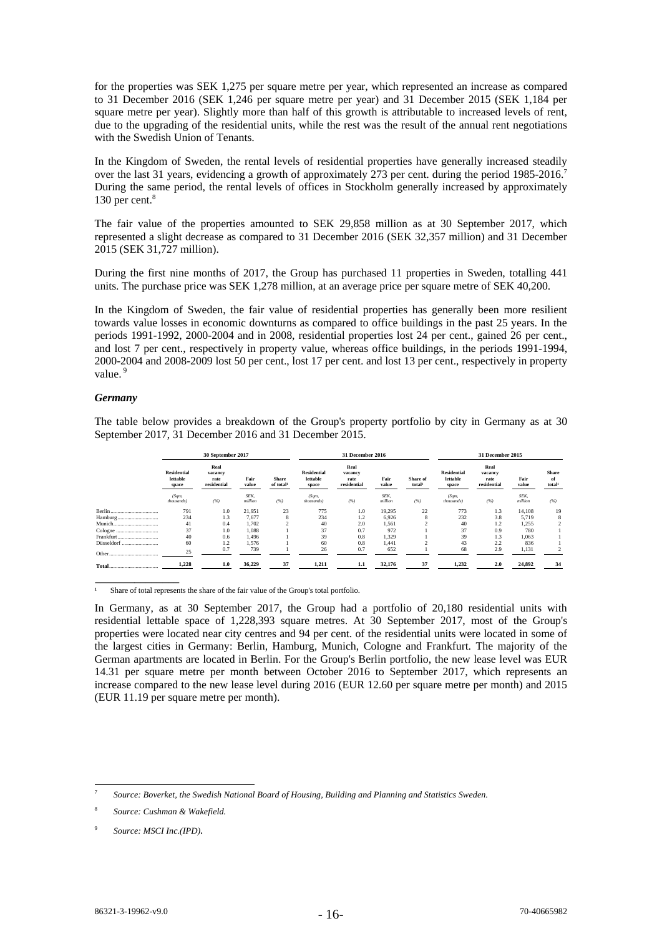for the properties was SEK 1,275 per square metre per year, which represented an increase as compared to 31 December 2016 (SEK 1,246 per square metre per year) and 31 December 2015 (SEK 1,184 per square metre per year). Slightly more than half of this growth is attributable to increased levels of rent, due to the upgrading of the residential units, while the rest was the result of the annual rent negotiations with the Swedish Union of Tenants.

In the Kingdom of Sweden, the rental levels of residential properties have generally increased steadily over the last 31 years, evidencing a growth of approximately 273 per cent. during the period 1985-2016.7 During the same period, the rental levels of offices in Stockholm generally increased by approximately 130 per cent. $8$ 

The fair value of the properties amounted to SEK 29,858 million as at 30 September 2017, which represented a slight decrease as compared to 31 December 2016 (SEK 32,357 million) and 31 December 2015 (SEK 31,727 million).

During the first nine months of 2017, the Group has purchased 11 properties in Sweden, totalling 441 units. The purchase price was SEK 1,278 million, at an average price per square metre of SEK 40,200.

In the Kingdom of Sweden, the fair value of residential properties has generally been more resilient towards value losses in economic downturns as compared to office buildings in the past 25 years. In the periods 1991-1992, 2000-2004 and in 2008, residential properties lost 24 per cent., gained 26 per cent., and lost 7 per cent., respectively in property value, whereas office buildings, in the periods 1991-1994, 2000-2004 and 2008-2009 lost 50 per cent., lost 17 per cent. and lost 13 per cent., respectively in property value.<sup>9</sup>

## *Germany*

\_\_\_\_\_\_\_\_\_\_\_\_\_\_\_

The table below provides a breakdown of the Group's property portfolio by city in Germany as at 30 September 2017, 31 December 2016 and 31 December 2015.

|            | 30 September 2017                       |                                        |                 |                                       | 31 December 2016                        |                                        |                 |                                | 31 December 2015                        |                                        |                 |                                          |
|------------|-----------------------------------------|----------------------------------------|-----------------|---------------------------------------|-----------------------------------------|----------------------------------------|-----------------|--------------------------------|-----------------------------------------|----------------------------------------|-----------------|------------------------------------------|
|            | <b>Residential</b><br>lettable<br>space | Real<br>vacancy<br>rate<br>residential | Fair<br>value   | <b>Share</b><br>of total <sup>1</sup> | <b>Residential</b><br>lettable<br>space | Real<br>vacancy<br>rate<br>residential | Fair<br>value   | Share of<br>total <sup>1</sup> | <b>Residential</b><br>lettable<br>space | Real<br>vacancy<br>rate<br>residential | Fair<br>value   | <b>Share</b><br>of<br>total <sup>1</sup> |
|            | (Sqm,<br>thousands)                     | (%)                                    | SEK.<br>million | (%)                                   | (Sqm,<br>thousands)                     | (%)                                    | SEK.<br>million | (%)                            | (Sqm,<br>thousands)                     | (%)                                    | SEK.<br>million | (%)                                      |
|            | 791                                     | 1.0                                    | 21,951          | 23                                    | 775                                     | 1.0                                    | 19,295          | 22                             | 773                                     | 1.3                                    | 14.108          | 19                                       |
| Hamburg    | 234                                     | 1.3                                    | 7,677           | 8                                     | 234                                     | 1.2                                    | 6,926           | õ                              | 232                                     | 3.8                                    | 5,719           | 8                                        |
|            | 41                                      | 0.4                                    | 1.702           |                                       | 40                                      | 2.0                                    | 1,561           |                                | 40                                      | 1.2                                    | 1,255           |                                          |
|            | 37                                      | 1.0                                    | 1,088           |                                       | 37                                      | 0.7                                    | 972             |                                | 37                                      | 0.9                                    | 780             |                                          |
| Frankfurt  | 40                                      | 0.6                                    | 1,496           |                                       | 39                                      | 0.8                                    | 1,329           |                                | 39                                      | 1.3                                    | 1,063           |                                          |
| Düsseldorf | 60                                      | 1.2                                    | 1.576           |                                       | 60                                      | 0.8                                    | 1.441           |                                | 43                                      | 2.2                                    | 836             |                                          |
| Other<br>  | 25                                      | 0.7                                    | 739             |                                       | 26                                      | 0.7                                    | 652             |                                | 68                                      | 2.9                                    | 1,131           |                                          |
|            | 1,228                                   | 1.0                                    | 36,229          | 37                                    | 1,211                                   | 1.1                                    | 32,176          | 37                             | 1,232                                   | 2.0                                    | 24,892          | -34                                      |

<sup>1</sup> Share of total represents the share of the fair value of the Group's total portfolio.

In Germany, as at 30 September 2017, the Group had a portfolio of 20,180 residential units with residential lettable space of 1,228,393 square metres. At 30 September 2017, most of the Group's properties were located near city centres and 94 per cent. of the residential units were located in some of the largest cities in Germany: Berlin, Hamburg, Munich, Cologne and Frankfurt. The majority of the German apartments are located in Berlin. For the Group's Berlin portfolio, the new lease level was EUR 14.31 per square metre per month between October 2016 to September 2017, which represents an increase compared to the new lease level during 2016 (EUR 12.60 per square metre per month) and 2015 (EUR 11.19 per square metre per month).

<sup>-</sup><sup>7</sup> *Source: Boverket, the Swedish National Board of Housing, Building and Planning and Statistics Sweden.* 

<sup>8</sup>  *Source: Cushman & Wakefield.* 

<sup>9</sup> *Source: MSCI Inc.(IPD).*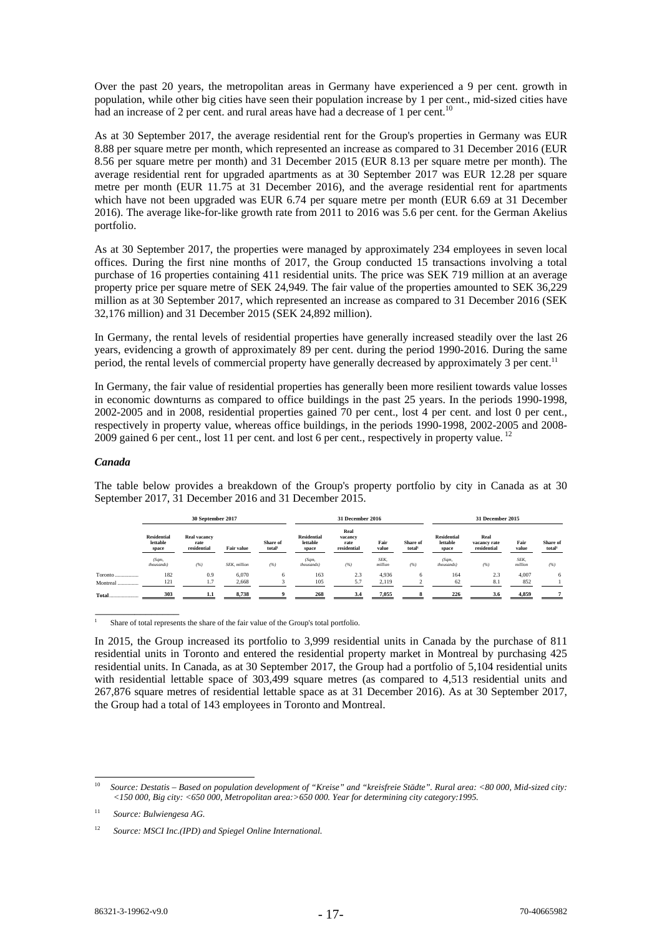Over the past 20 years, the metropolitan areas in Germany have experienced a 9 per cent. growth in population, while other big cities have seen their population increase by 1 per cent., mid-sized cities have had an increase of 2 per cent. and rural areas have had a decrease of 1 per cent.<sup>10</sup>

As at 30 September 2017, the average residential rent for the Group's properties in Germany was EUR 8.88 per square metre per month, which represented an increase as compared to 31 December 2016 (EUR 8.56 per square metre per month) and 31 December 2015 (EUR 8.13 per square metre per month). The average residential rent for upgraded apartments as at 30 September 2017 was EUR 12.28 per square metre per month (EUR 11.75 at 31 December 2016), and the average residential rent for apartments which have not been upgraded was EUR 6.74 per square metre per month (EUR 6.69 at 31 December 2016). The average like-for-like growth rate from 2011 to 2016 was 5.6 per cent. for the German Akelius portfolio.

As at 30 September 2017, the properties were managed by approximately 234 employees in seven local offices. During the first nine months of 2017, the Group conducted 15 transactions involving a total purchase of 16 properties containing 411 residential units. The price was SEK 719 million at an average property price per square metre of SEK 24,949. The fair value of the properties amounted to SEK 36,229 million as at 30 September 2017, which represented an increase as compared to 31 December 2016 (SEK 32,176 million) and 31 December 2015 (SEK 24,892 million).

In Germany, the rental levels of residential properties have generally increased steadily over the last 26 years, evidencing a growth of approximately 89 per cent. during the period 1990-2016. During the same period, the rental levels of commercial property have generally decreased by approximately 3 per cent.<sup>11</sup>

In Germany, the fair value of residential properties has generally been more resilient towards value losses in economic downturns as compared to office buildings in the past 25 years. In the periods 1990-1998, 2002-2005 and in 2008, residential properties gained 70 per cent., lost 4 per cent. and lost 0 per cent., respectively in property value, whereas office buildings, in the periods 1990-1998, 2002-2005 and 2008- 2009 gained 6 per cent., lost 11 per cent. and lost 6 per cent., respectively in property value.<sup>12</sup>

#### *Canada*

The table below provides a breakdown of the Group's property portfolio by city in Canada as at 30 September 2017, 31 December 2016 and 31 December 2015.

|                     | 30 September 2017                       |                                            |                      |                                | 31 December 2016                        |                                        |                 |                                | 31 December 2015                        |                                     |                 |                                |
|---------------------|-----------------------------------------|--------------------------------------------|----------------------|--------------------------------|-----------------------------------------|----------------------------------------|-----------------|--------------------------------|-----------------------------------------|-------------------------------------|-----------------|--------------------------------|
|                     | <b>Residential</b><br>lettable<br>space | <b>Real vacancy</b><br>rate<br>residential | <b>Fair value</b>    | Share of<br>total <sup>1</sup> | <b>Residential</b><br>lettable<br>space | Real<br>vacancy<br>rate<br>residential | Fair<br>value   | Share of<br>total <sup>1</sup> | <b>Residential</b><br>lettable<br>space | Real<br>vacancy rate<br>residential | Fair<br>value   | Share of<br>total <sup>1</sup> |
|                     | (Sqm,<br>thousands)                     | (%)                                        | <b>SEK</b> . million | (%)                            | (Sqm,<br>thousands)                     | (%)                                    | SEK.<br>million | (%)                            | (Sqm,<br>thousands)                     | (%)                                 | SEK.<br>million | (%)                            |
| Toronto<br>Montreal | 182<br>121                              | 0.9<br>1.7                                 | 6,070<br>2,668       | 6                              | 163<br>105                              | 2.3<br>5.7                             | 4,936<br>2.119  | 6                              | 164<br>62                               | 2.3<br>8.1                          | 4,007<br>852    | 6                              |
| Total               | 303                                     |                                            | 8.738                |                                | 268                                     | 3.4                                    | 7.055           |                                | 226                                     | 3.6                                 | 4.859           |                                |

1 Share of total represents the share of the fair value of the Group's total portfolio.

In 2015, the Group increased its portfolio to 3,999 residential units in Canada by the purchase of 811 residential units in Toronto and entered the residential property market in Montreal by purchasing 425 residential units. In Canada, as at 30 September 2017, the Group had a portfolio of 5,104 residential units with residential lettable space of 303,499 square metres (as compared to 4,513 residential units and 267,876 square metres of residential lettable space as at 31 December 2016). As at 30 September 2017, the Group had a total of 143 employees in Toronto and Montreal.

\_\_\_\_\_\_\_\_\_\_\_\_\_\_\_

 $10$ 10 *Source: Destatis – Based on population development of "Kreise" and "kreisfreie Städte". Rural area: <80 000, Mid-sized city: <150 000, Big city: <650 000, Metropolitan area:>650 000. Year for determining city category:1995.*

<sup>11</sup> *Source: Bulwiengesa AG.*

<sup>12</sup>*Source: MSCI Inc.(IPD) and Spiegel Online International.*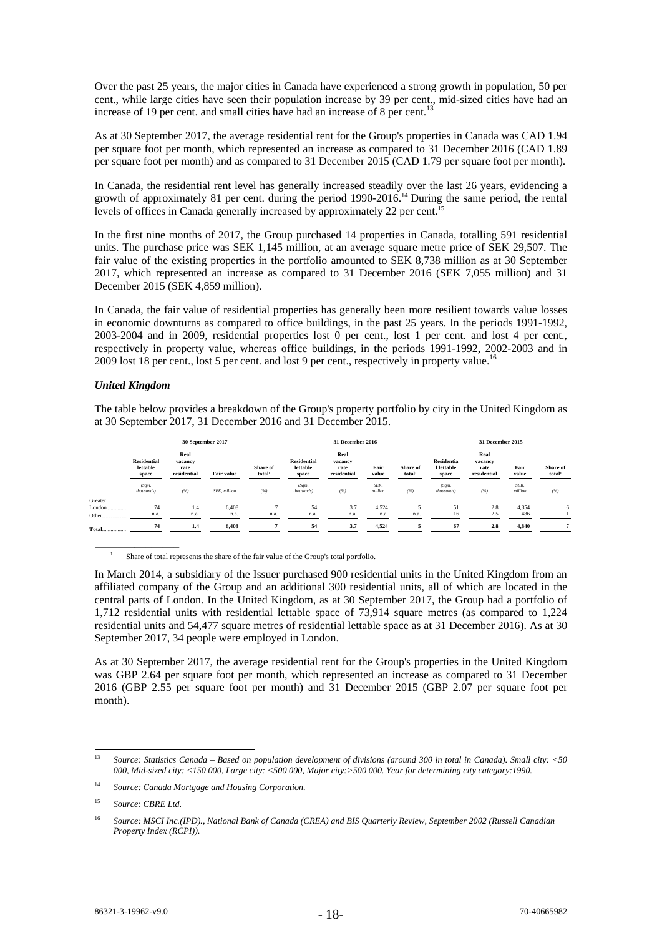Over the past 25 years, the major cities in Canada have experienced a strong growth in population, 50 per cent., while large cities have seen their population increase by 39 per cent., mid-sized cities have had an increase of 19 per cent. and small cities have had an increase of 8 per cent.<sup>13</sup>

As at 30 September 2017, the average residential rent for the Group's properties in Canada was CAD 1.94 per square foot per month, which represented an increase as compared to 31 December 2016 (CAD 1.89 per square foot per month) and as compared to 31 December 2015 (CAD 1.79 per square foot per month).

In Canada, the residential rent level has generally increased steadily over the last 26 years, evidencing a growth of approximately 81 per cent. during the period 1990-2016.14 During the same period, the rental levels of offices in Canada generally increased by approximately 22 per cent.<sup>15</sup>

In the first nine months of 2017, the Group purchased 14 properties in Canada, totalling 591 residential units. The purchase price was SEK 1,145 million, at an average square metre price of SEK 29,507. The fair value of the existing properties in the portfolio amounted to SEK 8,738 million as at 30 September 2017, which represented an increase as compared to 31 December 2016 (SEK 7,055 million) and 31 December 2015 (SEK 4,859 million).

In Canada, the fair value of residential properties has generally been more resilient towards value losses in economic downturns as compared to office buildings, in the past 25 years. In the periods 1991-1992, 2003-2004 and in 2009, residential properties lost 0 per cent., lost 1 per cent. and lost 4 per cent., respectively in property value, whereas office buildings, in the periods 1991-1992, 2002-2003 and in 2009 lost 18 per cent., lost 5 per cent. and lost 9 per cent., respectively in property value.<sup>16</sup>

## *United Kingdom*

The table below provides a breakdown of the Group's property portfolio by city in the United Kingdom as at 30 September 2017, 31 December 2016 and 31 December 2015.

|                   | 30 September 2017                       |                                        |              |                                |                                         | 31 December 2016                       |                 |                                |                                          | 31 December 2015                       |                 |                   |  |
|-------------------|-----------------------------------------|----------------------------------------|--------------|--------------------------------|-----------------------------------------|----------------------------------------|-----------------|--------------------------------|------------------------------------------|----------------------------------------|-----------------|-------------------|--|
|                   | <b>Residential</b><br>lettable<br>space | Real<br>vacancy<br>rate<br>residential | Fair value   | Share of<br>total <sup>1</sup> | <b>Residential</b><br>lettable<br>space | Real<br>vacancy<br>rate<br>residential | Fair<br>value   | Share of<br>total <sup>1</sup> | <b>Residentia</b><br>l lettable<br>space | Real<br>vacancy<br>rate<br>residential | Fair<br>value   | Share of<br>total |  |
|                   | (Sqm,<br>thousands)                     | (%)                                    | SEK, million | (%)                            | (Sqm,<br>thousands)                     | (%)                                    | SEK.<br>million | (%)                            | (Sqm,<br>thousands)                      | (%)                                    | SEK.<br>million | (%)               |  |
| Greater<br>London | 74                                      | 1.4                                    | 6,408        |                                | 54                                      | 3.7                                    | 4,524           | 5                              | 51                                       | 2.8                                    | 4,354           | 6                 |  |
| Other             | n.a.                                    | n.a.                                   | n.a.         | n.a.                           | n.a.                                    | n.a.                                   | n.a.            | n.a.                           | 16                                       | 2.5                                    | 486             |                   |  |
| <b>Total</b>      | 74                                      | 1.4                                    | 6.408        |                                | 54                                      | 3.7                                    | 4.524           |                                | 67                                       | 2.8                                    | 4,840           |                   |  |

<sup>1</sup> Share of total represents the share of the fair value of the Group's total portfolio.

In March 2014, a subsidiary of the Issuer purchased 900 residential units in the United Kingdom from an affiliated company of the Group and an additional 300 residential units, all of which are located in the central parts of London. In the United Kingdom, as at 30 September 2017, the Group had a portfolio of 1,712 residential units with residential lettable space of 73,914 square metres (as compared to 1,224 residential units and 54,477 square metres of residential lettable space as at 31 December 2016). As at 30 September 2017, 34 people were employed in London.

As at 30 September 2017, the average residential rent for the Group's properties in the United Kingdom was GBP 2.64 per square foot per month, which represented an increase as compared to 31 December 2016 (GBP 2.55 per square foot per month) and 31 December 2015 (GBP 2.07 per square foot per month).

 $13$ 13 *Source: Statistics Canada – Based on population development of divisions (around 300 in total in Canada). Small city: <50 000, Mid-sized city: <150 000, Large city: <500 000, Major city:>500 000. Year for determining city category:1990.*

<sup>14</sup> *Source: Canada Mortgage and Housing Corporation.* 

<sup>15</sup> *Source: CBRE Ltd.* 

<sup>16</sup> *Source: MSCI Inc.(IPD)., National Bank of Canada (CREA) and BIS Quarterly Review, September 2002 (Russell Canadian Property Index (RCPI)).*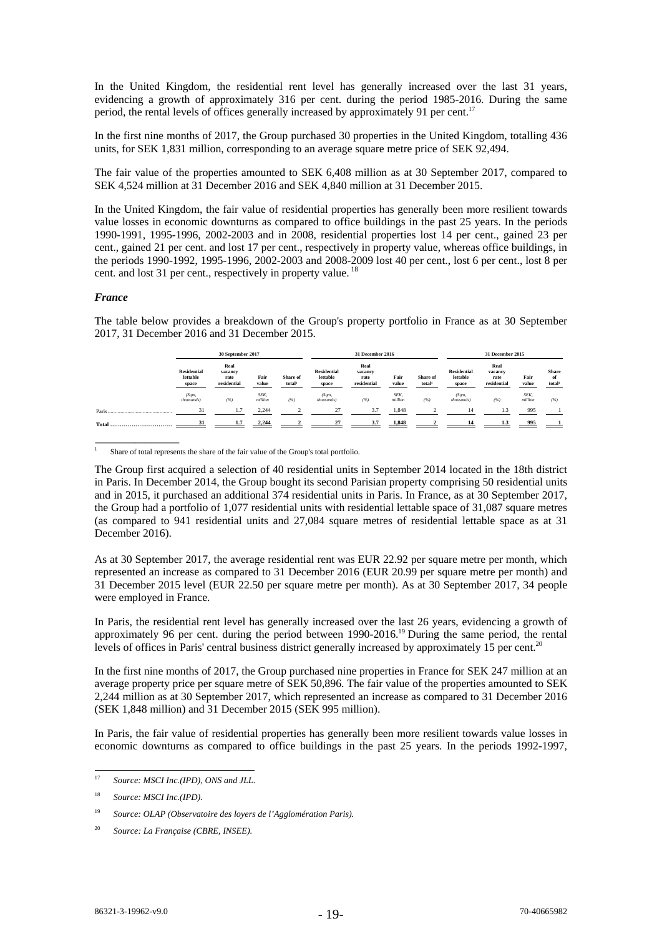In the United Kingdom, the residential rent level has generally increased over the last 31 years, evidencing a growth of approximately 316 per cent. during the period 1985-2016. During the same period, the rental levels of offices generally increased by approximately 91 per cent.<sup>17</sup>

In the first nine months of 2017, the Group purchased 30 properties in the United Kingdom, totalling 436 units, for SEK 1,831 million, corresponding to an average square metre price of SEK 92,494.

The fair value of the properties amounted to SEK 6,408 million as at 30 September 2017, compared to SEK 4,524 million at 31 December 2016 and SEK 4,840 million at 31 December 2015.

In the United Kingdom, the fair value of residential properties has generally been more resilient towards value losses in economic downturns as compared to office buildings in the past 25 years. In the periods 1990-1991, 1995-1996, 2002-2003 and in 2008, residential properties lost 14 per cent., gained 23 per cent., gained 21 per cent. and lost 17 per cent., respectively in property value, whereas office buildings, in the periods 1990-1992, 1995-1996, 2002-2003 and 2008-2009 lost 40 per cent., lost 6 per cent., lost 8 per cent. and lost 31 per cent., respectively in property value.<sup>18</sup>

## *France*

\_\_\_\_\_\_\_\_\_\_\_\_\_\_\_

The table below provides a breakdown of the Group's property portfolio in France as at 30 September 2017, 31 December 2016 and 31 December 2015.

|           | 30 September 2017                       |                                        |                 |                                | 31 December 2016                        |                                        |                 |                                | 31 December 2015                        |                                        |                 |                                          |
|-----------|-----------------------------------------|----------------------------------------|-----------------|--------------------------------|-----------------------------------------|----------------------------------------|-----------------|--------------------------------|-----------------------------------------|----------------------------------------|-----------------|------------------------------------------|
|           | <b>Residential</b><br>lettable<br>space | Real<br>vacancy<br>rate<br>residential | Fair<br>value   | Share of<br>total <sup>1</sup> | <b>Residential</b><br>lettable<br>space | Real<br>vacancy<br>rate<br>residential | Fair<br>value   | Share of<br>total <sup>1</sup> | <b>Residential</b><br>lettable<br>space | Real<br>vacancy<br>rate<br>residential | Fair<br>value   | <b>Share</b><br>of<br>total <sup>1</sup> |
|           | (Sqm,<br>thousands)                     | (%)                                    | SEK.<br>million | (%)                            | (Sqm,<br>thousands)                     | (%)                                    | SEK.<br>million | (%)                            | (Sqm,<br>thousands)                     | (%)                                    | SEK.<br>million | (%)                                      |
| Paris.    | 31                                      | 1.7                                    | 2.244           |                                | 27                                      | 3.7                                    | 1,848           | $\mathfrak{D}$                 | 14                                      | 1.3                                    | 995             |                                          |
| Total<br> | 31                                      | 1.7                                    | 2.244           |                                | 27                                      | 3.7                                    | 1,848           |                                | 14                                      | 1.3                                    | 995             |                                          |

1 Share of total represents the share of the fair value of the Group's total portfolio.

The Group first acquired a selection of 40 residential units in September 2014 located in the 18th district in Paris. In December 2014, the Group bought its second Parisian property comprising 50 residential units and in 2015, it purchased an additional 374 residential units in Paris. In France, as at 30 September 2017, the Group had a portfolio of 1,077 residential units with residential lettable space of 31,087 square metres (as compared to 941 residential units and 27,084 square metres of residential lettable space as at 31 December 2016).

As at 30 September 2017, the average residential rent was EUR 22.92 per square metre per month, which represented an increase as compared to 31 December 2016 (EUR 20.99 per square metre per month) and 31 December 2015 level (EUR 22.50 per square metre per month). As at 30 September 2017, 34 people were employed in France.

In Paris, the residential rent level has generally increased over the last 26 years, evidencing a growth of approximately 96 per cent. during the period between 1990-2016.19 During the same period, the rental levels of offices in Paris' central business district generally increased by approximately 15 per cent.<sup>20</sup>

In the first nine months of 2017, the Group purchased nine properties in France for SEK 247 million at an average property price per square metre of SEK 50,896. The fair value of the properties amounted to SEK 2,244 million as at 30 September 2017, which represented an increase as compared to 31 December 2016 (SEK 1,848 million) and 31 December 2015 (SEK 995 million).

In Paris, the fair value of residential properties has generally been more resilient towards value losses in economic downturns as compared to office buildings in the past 25 years. In the periods 1992-1997,

 $\overline{17}$ Source: MSCI Inc.(IPD), ONS and JLL.

<sup>18</sup> *Source: MSCI Inc.(IPD).*

<sup>19</sup> *Source: OLAP (Observatoire des loyers de l'Agglomération Paris).* 

<sup>20</sup> *Source: La Française (CBRE, INSEE).*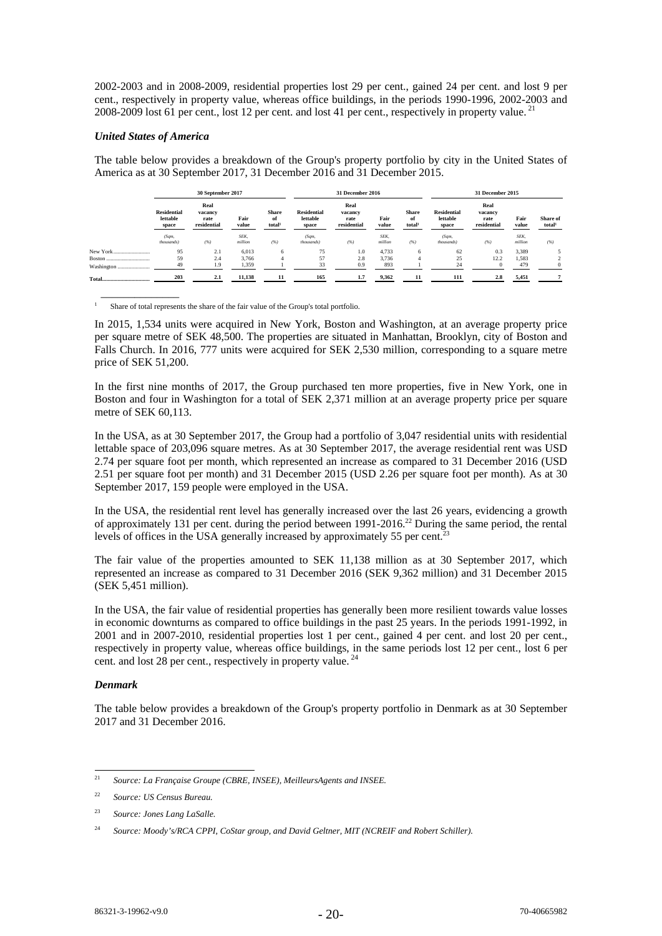2002-2003 and in 2008-2009, residential properties lost 29 per cent., gained 24 per cent. and lost 9 per cent., respectively in property value, whereas office buildings, in the periods 1990-1996, 2002-2003 and 2008-2009 lost 61 per cent., lost 12 per cent. and lost 41 per cent., respectively in property value. 21

## *United States of America*

 $\overline{\phantom{a}}$   $\overline{\phantom{a}}$   $\overline{\phantom{a}}$   $\overline{\phantom{a}}$   $\overline{\phantom{a}}$   $\overline{\phantom{a}}$   $\overline{\phantom{a}}$   $\overline{\phantom{a}}$   $\overline{\phantom{a}}$   $\overline{\phantom{a}}$   $\overline{\phantom{a}}$   $\overline{\phantom{a}}$   $\overline{\phantom{a}}$   $\overline{\phantom{a}}$   $\overline{\phantom{a}}$   $\overline{\phantom{a}}$   $\overline{\phantom{a}}$   $\overline{\phantom{a}}$   $\overline{\$ 

The table below provides a breakdown of the Group's property portfolio by city in the United States of America as at 30 September 2017, 31 December 2016 and 31 December 2015.

|            | 30 September 2017                       |                                        |                 |                                          | 31 December 2016                        |                                        |                 |                                          | 31 December 2015                        |                                        |                 |                                |
|------------|-----------------------------------------|----------------------------------------|-----------------|------------------------------------------|-----------------------------------------|----------------------------------------|-----------------|------------------------------------------|-----------------------------------------|----------------------------------------|-----------------|--------------------------------|
|            | <b>Residential</b><br>lettable<br>space | Real<br>vacancv<br>rate<br>residential | Fair<br>value   | <b>Share</b><br>of<br>total <sup>1</sup> | <b>Residential</b><br>lettable<br>space | Real<br>vacancy<br>rate<br>residential | Fair<br>value   | <b>Share</b><br>of<br>total <sup>1</sup> | <b>Residential</b><br>lettable<br>space | Real<br>vacancy<br>rate<br>residential | Fair<br>value   | Share of<br>total <sup>1</sup> |
|            | (Sqm,<br>thousands)                     | (%)                                    | SEK.<br>million | (%)                                      | (Sqm,<br>thousands)                     | (%)                                    | SEK.<br>million | (%)                                      | (Sqm,<br>thousands)                     | (%)                                    | SEK.<br>million | (%)                            |
| New York   | 95                                      | 2.1                                    | 6,013           | 6                                        | 75                                      | 1.0                                    | 4.733           | 6                                        | 62                                      | 0.3                                    | 3,389           |                                |
| Boston     | 59                                      | 2.4                                    | 3.766           | 4                                        | 57                                      | 2.8                                    | 3.736           |                                          | 25                                      | 12.2                                   | 1,583           |                                |
| Washington | 49                                      | 1.9                                    | 1,359           |                                          | 33                                      | 0.9                                    | 893             |                                          | 24                                      | $\Omega$                               | 479             | $\Omega$                       |
|            | 203                                     | 2.1                                    | 11,138          |                                          | 165                                     | 1.7                                    | 9,362           | 11                                       | 111                                     | 2.8                                    | 5,451           |                                |

1 Share of total represents the share of the fair value of the Group's total portfolio.

In 2015, 1,534 units were acquired in New York, Boston and Washington, at an average property price per square metre of SEK 48,500. The properties are situated in Manhattan, Brooklyn, city of Boston and Falls Church. In 2016, 777 units were acquired for SEK 2,530 million, corresponding to a square metre price of SEK 51,200.

In the first nine months of 2017, the Group purchased ten more properties, five in New York, one in Boston and four in Washington for a total of SEK 2,371 million at an average property price per square metre of SEK 60,113.

In the USA, as at 30 September 2017, the Group had a portfolio of 3,047 residential units with residential lettable space of 203,096 square metres. As at 30 September 2017, the average residential rent was USD 2.74 per square foot per month, which represented an increase as compared to 31 December 2016 (USD 2.51 per square foot per month) and 31 December 2015 (USD 2.26 per square foot per month). As at 30 September 2017, 159 people were employed in the USA.

In the USA, the residential rent level has generally increased over the last 26 years, evidencing a growth of approximately 131 per cent. during the period between 1991-2016.<sup>22</sup> During the same period, the rental levels of offices in the USA generally increased by approximately 55 per cent.<sup>2</sup>

The fair value of the properties amounted to SEK 11,138 million as at 30 September 2017, which represented an increase as compared to 31 December 2016 (SEK 9,362 million) and 31 December 2015 (SEK 5,451 million).

In the USA, the fair value of residential properties has generally been more resilient towards value losses in economic downturns as compared to office buildings in the past 25 years. In the periods 1991-1992, in 2001 and in 2007-2010, residential properties lost 1 per cent., gained 4 per cent. and lost 20 per cent., respectively in property value, whereas office buildings, in the same periods lost 12 per cent., lost 6 per cent. and lost 28 per cent., respectively in property value.<sup>24</sup>

## *Denmark*

The table below provides a breakdown of the Group's property portfolio in Denmark as at 30 September 2017 and 31 December 2016.

 $21$ <sup>21</sup> *Source: La Française Groupe (CBRE, INSEE), MeilleursAgents and INSEE.*

<sup>22</sup> *Source: US Census Bureau.* 

<sup>23</sup> *Source: Jones Lang LaSalle.* 

<sup>24</sup> *Source: Moody's/RCA CPPI, CoStar group, and David Geltner, MIT (NCREIF and Robert Schiller).*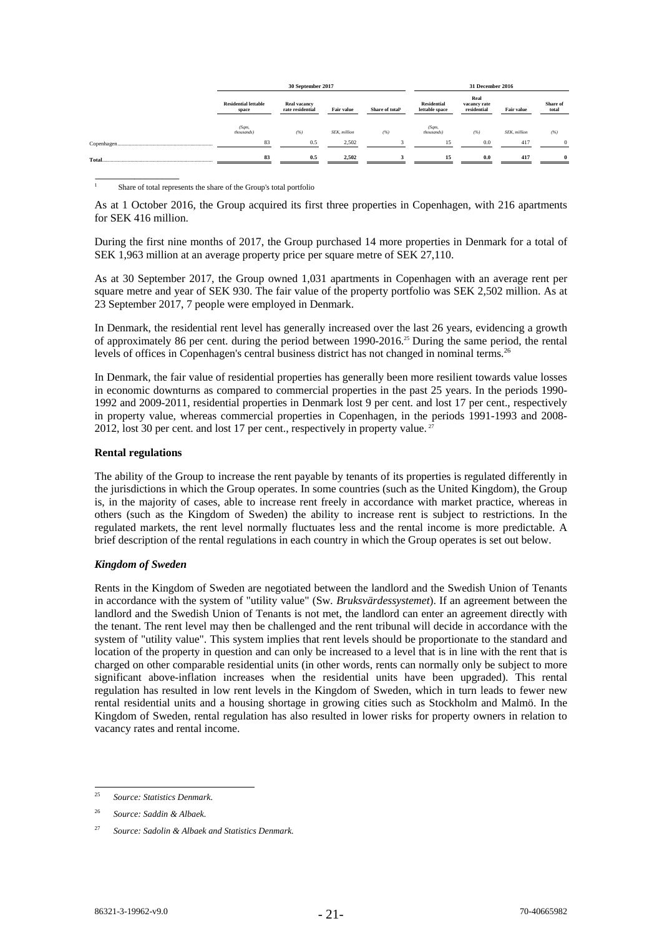|        |                                      | 30 September 2017                       |                      | 31 December 2016            |                                                                             |     |                      |                   |
|--------|--------------------------------------|-----------------------------------------|----------------------|-----------------------------|-----------------------------------------------------------------------------|-----|----------------------|-------------------|
|        | <b>Residential lettable</b><br>space | <b>Real vacancy</b><br>rate residential | <b>Fair value</b>    | Share of total <sup>1</sup> | Real<br><b>Residential</b><br>vacancy rate<br>lettable space<br>residential |     | <b>Fair value</b>    | Share of<br>total |
|        | (Sqm,<br>thousands)                  | (%)                                     | <b>SEK</b> , million | (%)                         | (Sqm,<br>thousands)                                                         | (%) | <b>SEK</b> , million | (%)               |
|        | 83                                   | 0.5                                     | 2,502                |                             | 15                                                                          | 0.0 | 417                  | $\Omega$          |
| Total. | 83                                   | 0.5                                     | 2,502                |                             | 15                                                                          | 0.0 | 417                  | $\mathbf{0}$      |

1 Share of total represents the share of the Group's total portfolio

As at 1 October 2016, the Group acquired its first three properties in Copenhagen, with 216 apartments for SEK 416 million.

During the first nine months of 2017, the Group purchased 14 more properties in Denmark for a total of SEK 1,963 million at an average property price per square metre of SEK 27,110.

As at 30 September 2017, the Group owned 1,031 apartments in Copenhagen with an average rent per square metre and year of SEK 930. The fair value of the property portfolio was SEK 2,502 million. As at 23 September 2017, 7 people were employed in Denmark.

In Denmark, the residential rent level has generally increased over the last 26 years, evidencing a growth of approximately 86 per cent. during the period between 1990-2016.25 During the same period, the rental levels of offices in Copenhagen's central business district has not changed in nominal terms.<sup>26</sup>

In Denmark, the fair value of residential properties has generally been more resilient towards value losses in economic downturns as compared to commercial properties in the past 25 years. In the periods 1990- 1992 and 2009-2011, residential properties in Denmark lost 9 per cent. and lost 17 per cent., respectively in property value, whereas commercial properties in Copenhagen, in the periods 1991-1993 and 2008- 2012, lost 30 per cent. and lost 17 per cent., respectively in property value.<sup>27</sup>

## **Rental regulations**

\_\_\_\_\_\_\_\_\_\_\_\_\_\_\_

The ability of the Group to increase the rent payable by tenants of its properties is regulated differently in the jurisdictions in which the Group operates. In some countries (such as the United Kingdom), the Group is, in the majority of cases, able to increase rent freely in accordance with market practice, whereas in others (such as the Kingdom of Sweden) the ability to increase rent is subject to restrictions. In the regulated markets, the rent level normally fluctuates less and the rental income is more predictable. A brief description of the rental regulations in each country in which the Group operates is set out below.

## *Kingdom of Sweden*

Rents in the Kingdom of Sweden are negotiated between the landlord and the Swedish Union of Tenants in accordance with the system of "utility value" (Sw*. Bruksvärdessystemet*). If an agreement between the landlord and the Swedish Union of Tenants is not met, the landlord can enter an agreement directly with the tenant. The rent level may then be challenged and the rent tribunal will decide in accordance with the system of "utility value". This system implies that rent levels should be proportionate to the standard and location of the property in question and can only be increased to a level that is in line with the rent that is charged on other comparable residential units (in other words, rents can normally only be subject to more significant above-inflation increases when the residential units have been upgraded). This rental regulation has resulted in low rent levels in the Kingdom of Sweden, which in turn leads to fewer new rental residential units and a housing shortage in growing cities such as Stockholm and Malmö. In the Kingdom of Sweden, rental regulation has also resulted in lower risks for property owners in relation to vacancy rates and rental income.

<sup>25</sup> <sup>25</sup> *Source: Statistics Denmark.* 

<sup>26</sup> *Source: Saddin & Albaek.* 

<sup>27</sup> *Source: Sadolin & Albaek and Statistics Denmark.*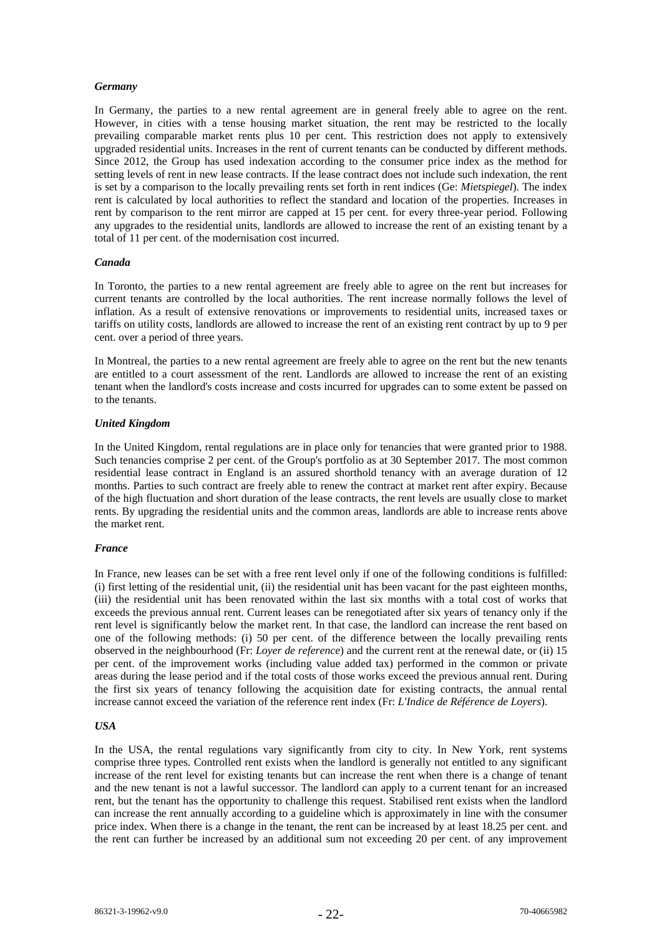## *Germany*

In Germany, the parties to a new rental agreement are in general freely able to agree on the rent. However, in cities with a tense housing market situation, the rent may be restricted to the locally prevailing comparable market rents plus 10 per cent. This restriction does not apply to extensively upgraded residential units. Increases in the rent of current tenants can be conducted by different methods. Since 2012, the Group has used indexation according to the consumer price index as the method for setting levels of rent in new lease contracts. If the lease contract does not include such indexation, the rent is set by a comparison to the locally prevailing rents set forth in rent indices (Ge: *Mietspiegel*). The index rent is calculated by local authorities to reflect the standard and location of the properties. Increases in rent by comparison to the rent mirror are capped at 15 per cent. for every three-year period. Following any upgrades to the residential units, landlords are allowed to increase the rent of an existing tenant by a total of 11 per cent. of the modernisation cost incurred.

## *Canada*

In Toronto, the parties to a new rental agreement are freely able to agree on the rent but increases for current tenants are controlled by the local authorities. The rent increase normally follows the level of inflation. As a result of extensive renovations or improvements to residential units, increased taxes or tariffs on utility costs, landlords are allowed to increase the rent of an existing rent contract by up to 9 per cent. over a period of three years.

In Montreal, the parties to a new rental agreement are freely able to agree on the rent but the new tenants are entitled to a court assessment of the rent. Landlords are allowed to increase the rent of an existing tenant when the landlord's costs increase and costs incurred for upgrades can to some extent be passed on to the tenants.

#### *United Kingdom*

In the United Kingdom, rental regulations are in place only for tenancies that were granted prior to 1988. Such tenancies comprise 2 per cent. of the Group's portfolio as at 30 September 2017. The most common residential lease contract in England is an assured shorthold tenancy with an average duration of 12 months. Parties to such contract are freely able to renew the contract at market rent after expiry. Because of the high fluctuation and short duration of the lease contracts, the rent levels are usually close to market rents. By upgrading the residential units and the common areas, landlords are able to increase rents above the market rent.

#### *France*

In France, new leases can be set with a free rent level only if one of the following conditions is fulfilled: (i) first letting of the residential unit, (ii) the residential unit has been vacant for the past eighteen months, (iii) the residential unit has been renovated within the last six months with a total cost of works that exceeds the previous annual rent. Current leases can be renegotiated after six years of tenancy only if the rent level is significantly below the market rent. In that case, the landlord can increase the rent based on one of the following methods: (i) 50 per cent. of the difference between the locally prevailing rents observed in the neighbourhood (Fr: *Loyer de reference*) and the current rent at the renewal date, or (ii) 15 per cent. of the improvement works (including value added tax) performed in the common or private areas during the lease period and if the total costs of those works exceed the previous annual rent. During the first six years of tenancy following the acquisition date for existing contracts, the annual rental increase cannot exceed the variation of the reference rent index (Fr: *L'Indice de Référence de Loyers*).

## *USA*

In the USA, the rental regulations vary significantly from city to city. In New York, rent systems comprise three types. Controlled rent exists when the landlord is generally not entitled to any significant increase of the rent level for existing tenants but can increase the rent when there is a change of tenant and the new tenant is not a lawful successor. The landlord can apply to a current tenant for an increased rent, but the tenant has the opportunity to challenge this request. Stabilised rent exists when the landlord can increase the rent annually according to a guideline which is approximately in line with the consumer price index. When there is a change in the tenant, the rent can be increased by at least 18.25 per cent. and the rent can further be increased by an additional sum not exceeding 20 per cent. of any improvement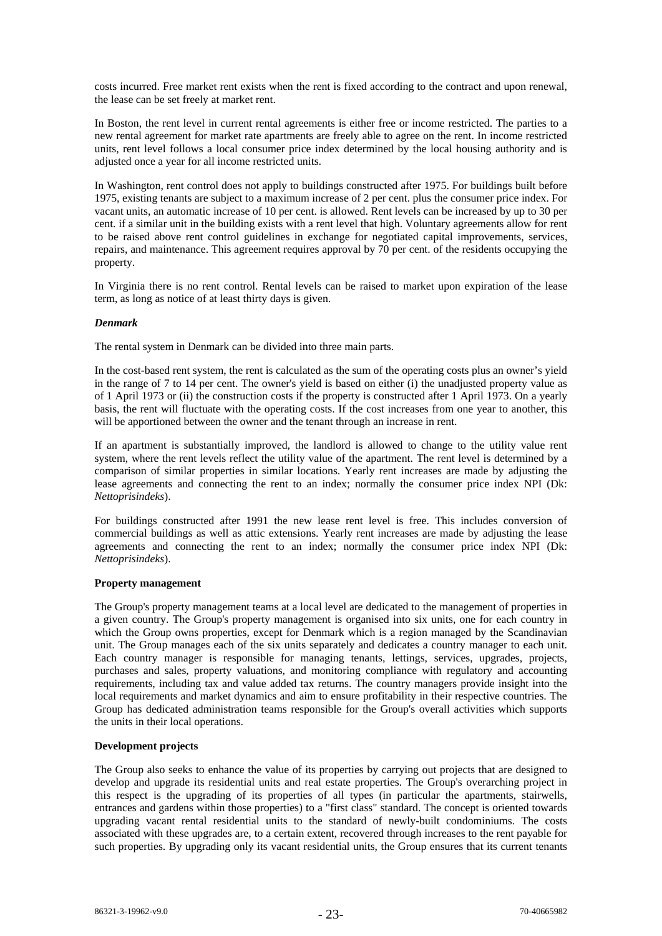costs incurred. Free market rent exists when the rent is fixed according to the contract and upon renewal, the lease can be set freely at market rent.

In Boston, the rent level in current rental agreements is either free or income restricted. The parties to a new rental agreement for market rate apartments are freely able to agree on the rent. In income restricted units, rent level follows a local consumer price index determined by the local housing authority and is adjusted once a year for all income restricted units.

In Washington, rent control does not apply to buildings constructed after 1975. For buildings built before 1975, existing tenants are subject to a maximum increase of 2 per cent. plus the consumer price index. For vacant units, an automatic increase of 10 per cent. is allowed. Rent levels can be increased by up to 30 per cent. if a similar unit in the building exists with a rent level that high. Voluntary agreements allow for rent to be raised above rent control guidelines in exchange for negotiated capital improvements, services, repairs, and maintenance. This agreement requires approval by 70 per cent. of the residents occupying the property.

In Virginia there is no rent control. Rental levels can be raised to market upon expiration of the lease term, as long as notice of at least thirty days is given.

## *Denmark*

The rental system in Denmark can be divided into three main parts.

In the cost-based rent system, the rent is calculated as the sum of the operating costs plus an owner's yield in the range of 7 to 14 per cent. The owner's yield is based on either (i) the unadjusted property value as of 1 April 1973 or (ii) the construction costs if the property is constructed after 1 April 1973. On a yearly basis, the rent will fluctuate with the operating costs. If the cost increases from one year to another, this will be apportioned between the owner and the tenant through an increase in rent.

If an apartment is substantially improved, the landlord is allowed to change to the utility value rent system, where the rent levels reflect the utility value of the apartment. The rent level is determined by a comparison of similar properties in similar locations. Yearly rent increases are made by adjusting the lease agreements and connecting the rent to an index; normally the consumer price index NPI (Dk: *Nettoprisindeks*).

For buildings constructed after 1991 the new lease rent level is free. This includes conversion of commercial buildings as well as attic extensions. Yearly rent increases are made by adjusting the lease agreements and connecting the rent to an index; normally the consumer price index NPI (Dk: *Nettoprisindeks*).

## **Property management**

The Group's property management teams at a local level are dedicated to the management of properties in a given country. The Group's property management is organised into six units, one for each country in which the Group owns properties, except for Denmark which is a region managed by the Scandinavian unit. The Group manages each of the six units separately and dedicates a country manager to each unit. Each country manager is responsible for managing tenants, lettings, services, upgrades, projects, purchases and sales, property valuations, and monitoring compliance with regulatory and accounting requirements, including tax and value added tax returns. The country managers provide insight into the local requirements and market dynamics and aim to ensure profitability in their respective countries. The Group has dedicated administration teams responsible for the Group's overall activities which supports the units in their local operations.

## **Development projects**

The Group also seeks to enhance the value of its properties by carrying out projects that are designed to develop and upgrade its residential units and real estate properties. The Group's overarching project in this respect is the upgrading of its properties of all types (in particular the apartments, stairwells, entrances and gardens within those properties) to a "first class" standard. The concept is oriented towards upgrading vacant rental residential units to the standard of newly-built condominiums. The costs associated with these upgrades are, to a certain extent, recovered through increases to the rent payable for such properties. By upgrading only its vacant residential units, the Group ensures that its current tenants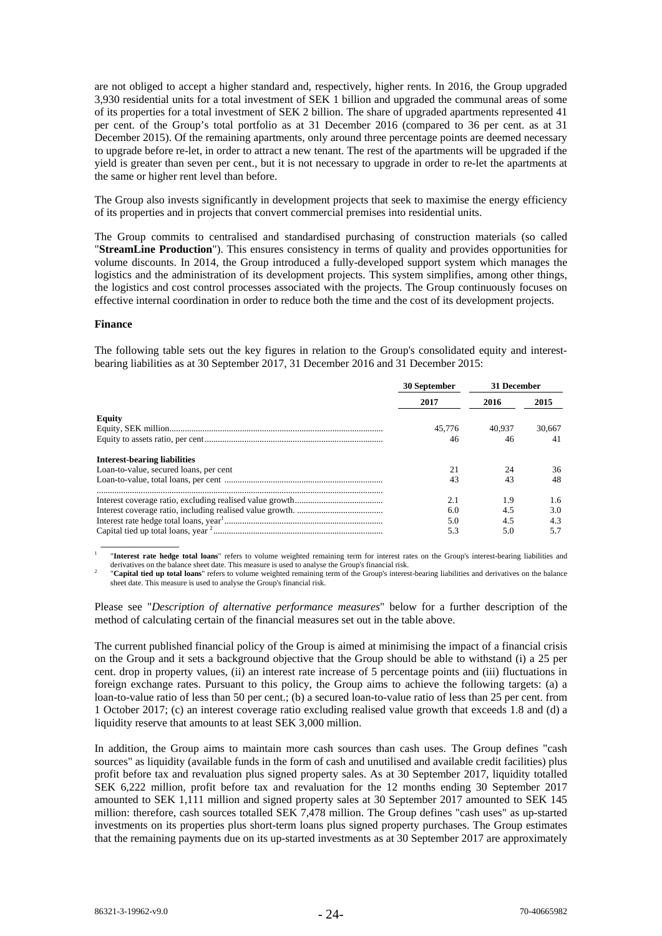are not obliged to accept a higher standard and, respectively, higher rents. In 2016, the Group upgraded 3,930 residential units for a total investment of SEK 1 billion and upgraded the communal areas of some of its properties for a total investment of SEK 2 billion. The share of upgraded apartments represented 41 per cent. of the Group's total portfolio as at 31 December 2016 (compared to 36 per cent. as at 31 December 2015). Of the remaining apartments, only around three percentage points are deemed necessary to upgrade before re-let, in order to attract a new tenant. The rest of the apartments will be upgraded if the yield is greater than seven per cent., but it is not necessary to upgrade in order to re-let the apartments at the same or higher rent level than before.

The Group also invests significantly in development projects that seek to maximise the energy efficiency of its properties and in projects that convert commercial premises into residential units.

The Group commits to centralised and standardised purchasing of construction materials (so called "**StreamLine Production**"). This ensures consistency in terms of quality and provides opportunities for volume discounts. In 2014, the Group introduced a fully-developed support system which manages the logistics and the administration of its development projects. This system simplifies, among other things, the logistics and cost control processes associated with the projects. The Group continuously focuses on effective internal coordination in order to reduce both the time and the cost of its development projects.

#### **Finance**

The following table sets out the key figures in relation to the Group's consolidated equity and interestbearing liabilities as at 30 September 2017, 31 December 2016 and 31 December 2015:

|                                        | 30 September | 31 December |        |  |
|----------------------------------------|--------------|-------------|--------|--|
|                                        | 2017         | 2016        | 2015   |  |
| Equity                                 |              |             |        |  |
|                                        | 45,776       | 40,937      | 30,667 |  |
|                                        | 46           | 46          | 41     |  |
| <b>Interest-bearing liabilities</b>    |              |             |        |  |
| Loan-to-value, secured loans, per cent | 21           |             | 36     |  |
|                                        | 43           | 43          | 48     |  |
|                                        |              |             |        |  |
|                                        | 2.1          | 1.9         | 1.6    |  |
|                                        | 6.0          | 4.5         | 3.0    |  |
|                                        | 5.0          | 4.5         | 4.3    |  |
|                                        | 5.3          | 5.0         | 5.7    |  |
|                                        |              |             |        |  |

1 "**Interest rate hedge total loans**" refers to volume weighted remaining term for interest rates on the Group's interest-bearing liabilities and derivatives on the balance sheet date. This measure is used to analyse the Group's financial risk.

 "**Capital tied up total loans**" refers to volume weighted remaining term of the Group's interest-bearing liabilities and derivatives on the balance sheet date. This measure is used to analyse the Group's financial risk.

Please see "*Description of alternative performance measures*" below for a further description of the method of calculating certain of the financial measures set out in the table above.

The current published financial policy of the Group is aimed at minimising the impact of a financial crisis on the Group and it sets a background objective that the Group should be able to withstand (i) a 25 per cent. drop in property values, (ii) an interest rate increase of 5 percentage points and (iii) fluctuations in foreign exchange rates. Pursuant to this policy, the Group aims to achieve the following targets: (a) a loan-to-value ratio of less than 50 per cent.; (b) a secured loan-to-value ratio of less than 25 per cent. from 1 October 2017; (c) an interest coverage ratio excluding realised value growth that exceeds 1.8 and (d) a liquidity reserve that amounts to at least SEK 3,000 million.

In addition, the Group aims to maintain more cash sources than cash uses. The Group defines "cash sources" as liquidity (available funds in the form of cash and unutilised and available credit facilities) plus profit before tax and revaluation plus signed property sales. As at 30 September 2017, liquidity totalled SEK 6,222 million, profit before tax and revaluation for the 12 months ending 30 September 2017 amounted to SEK 1,111 million and signed property sales at 30 September 2017 amounted to SEK 145 million: therefore, cash sources totalled SEK 7,478 million. The Group defines "cash uses" as up-started investments on its properties plus short-term loans plus signed property purchases. The Group estimates that the remaining payments due on its up-started investments as at 30 September 2017 are approximately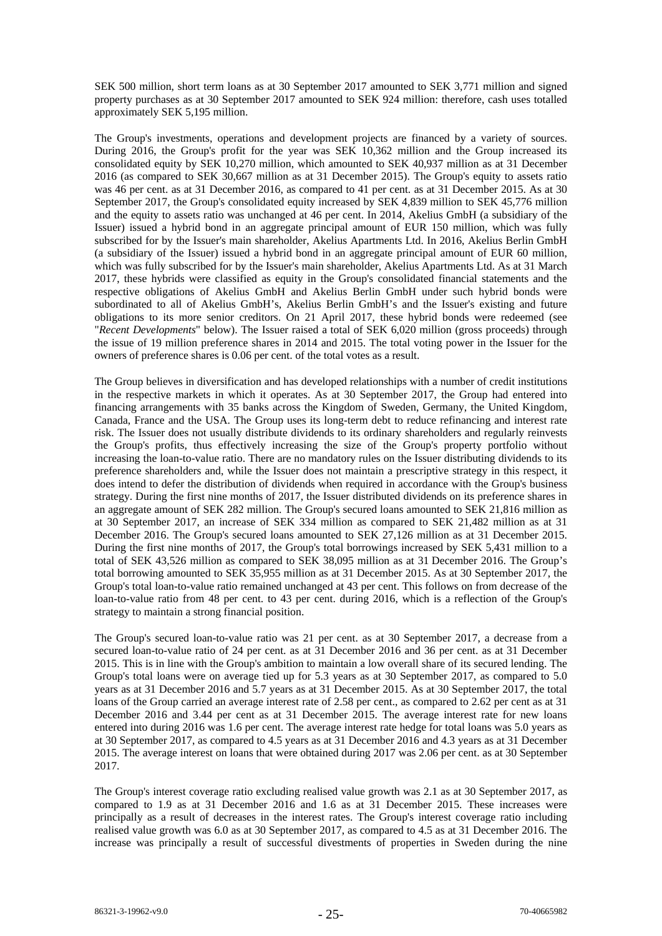SEK 500 million, short term loans as at 30 September 2017 amounted to SEK 3,771 million and signed property purchases as at 30 September 2017 amounted to SEK 924 million: therefore, cash uses totalled approximately SEK 5,195 million.

The Group's investments, operations and development projects are financed by a variety of sources. During 2016, the Group's profit for the year was SEK 10,362 million and the Group increased its consolidated equity by SEK 10,270 million, which amounted to SEK 40,937 million as at 31 December 2016 (as compared to SEK 30,667 million as at 31 December 2015). The Group's equity to assets ratio was 46 per cent. as at 31 December 2016, as compared to 41 per cent. as at 31 December 2015. As at 30 September 2017, the Group's consolidated equity increased by SEK 4,839 million to SEK 45,776 million and the equity to assets ratio was unchanged at 46 per cent. In 2014, Akelius GmbH (a subsidiary of the Issuer) issued a hybrid bond in an aggregate principal amount of EUR 150 million, which was fully subscribed for by the Issuer's main shareholder, Akelius Apartments Ltd. In 2016, Akelius Berlin GmbH (a subsidiary of the Issuer) issued a hybrid bond in an aggregate principal amount of EUR 60 million, which was fully subscribed for by the Issuer's main shareholder, Akelius Apartments Ltd. As at 31 March 2017, these hybrids were classified as equity in the Group's consolidated financial statements and the respective obligations of Akelius GmbH and Akelius Berlin GmbH under such hybrid bonds were subordinated to all of Akelius GmbH's, Akelius Berlin GmbH's and the Issuer's existing and future obligations to its more senior creditors. On 21 April 2017, these hybrid bonds were redeemed (see "*Recent Developments*" below). The Issuer raised a total of SEK 6,020 million (gross proceeds) through the issue of 19 million preference shares in 2014 and 2015. The total voting power in the Issuer for the owners of preference shares is 0.06 per cent. of the total votes as a result.

The Group believes in diversification and has developed relationships with a number of credit institutions in the respective markets in which it operates. As at 30 September 2017, the Group had entered into financing arrangements with 35 banks across the Kingdom of Sweden, Germany, the United Kingdom, Canada, France and the USA. The Group uses its long-term debt to reduce refinancing and interest rate risk. The Issuer does not usually distribute dividends to its ordinary shareholders and regularly reinvests the Group's profits, thus effectively increasing the size of the Group's property portfolio without increasing the loan-to-value ratio. There are no mandatory rules on the Issuer distributing dividends to its preference shareholders and, while the Issuer does not maintain a prescriptive strategy in this respect, it does intend to defer the distribution of dividends when required in accordance with the Group's business strategy. During the first nine months of 2017, the Issuer distributed dividends on its preference shares in an aggregate amount of SEK 282 million. The Group's secured loans amounted to SEK 21,816 million as at 30 September 2017, an increase of SEK 334 million as compared to SEK 21,482 million as at 31 December 2016. The Group's secured loans amounted to SEK 27,126 million as at 31 December 2015. During the first nine months of 2017, the Group's total borrowings increased by SEK 5,431 million to a total of SEK 43,526 million as compared to SEK 38,095 million as at 31 December 2016. The Group's total borrowing amounted to SEK 35,955 million as at 31 December 2015. As at 30 September 2017, the Group's total loan-to-value ratio remained unchanged at 43 per cent. This follows on from decrease of the loan-to-value ratio from 48 per cent. to 43 per cent. during 2016, which is a reflection of the Group's strategy to maintain a strong financial position.

The Group's secured loan-to-value ratio was 21 per cent. as at 30 September 2017, a decrease from a secured loan-to-value ratio of 24 per cent. as at 31 December 2016 and 36 per cent. as at 31 December 2015. This is in line with the Group's ambition to maintain a low overall share of its secured lending. The Group's total loans were on average tied up for 5.3 years as at 30 September 2017, as compared to 5.0 years as at 31 December 2016 and 5.7 years as at 31 December 2015. As at 30 September 2017, the total loans of the Group carried an average interest rate of 2.58 per cent., as compared to 2.62 per cent as at 31 December 2016 and 3.44 per cent as at 31 December 2015. The average interest rate for new loans entered into during 2016 was 1.6 per cent. The average interest rate hedge for total loans was 5.0 years as at 30 September 2017, as compared to 4.5 years as at 31 December 2016 and 4.3 years as at 31 December 2015. The average interest on loans that were obtained during 2017 was 2.06 per cent. as at 30 September 2017.

The Group's interest coverage ratio excluding realised value growth was 2.1 as at 30 September 2017, as compared to 1.9 as at 31 December 2016 and 1.6 as at 31 December 2015. These increases were principally as a result of decreases in the interest rates. The Group's interest coverage ratio including realised value growth was 6.0 as at 30 September 2017, as compared to 4.5 as at 31 December 2016. The increase was principally a result of successful divestments of properties in Sweden during the nine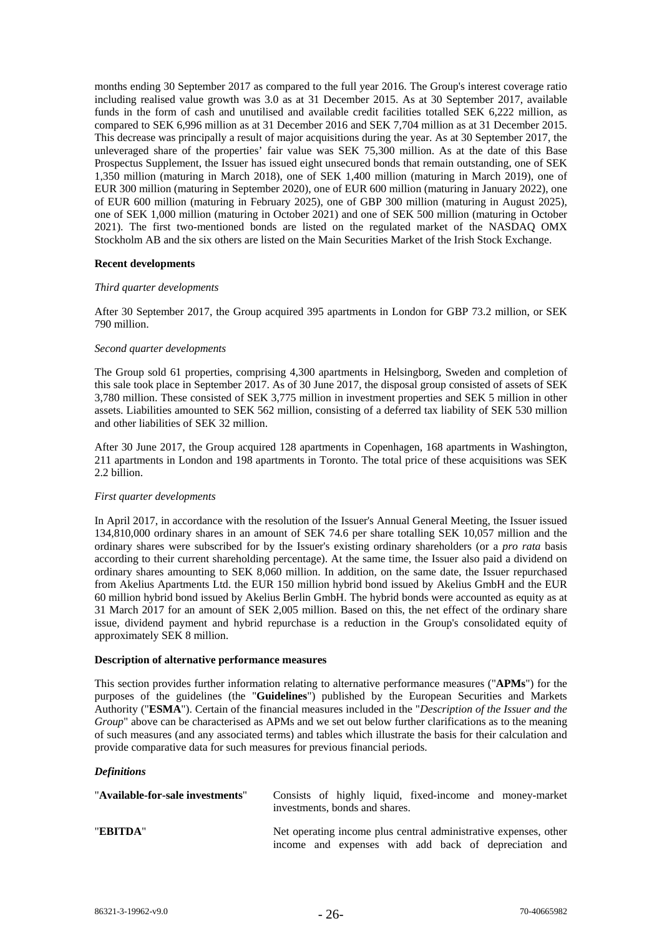months ending 30 September 2017 as compared to the full year 2016. The Group's interest coverage ratio including realised value growth was 3.0 as at 31 December 2015. As at 30 September 2017, available funds in the form of cash and unutilised and available credit facilities totalled SEK 6,222 million, as compared to SEK 6,996 million as at 31 December 2016 and SEK 7,704 million as at 31 December 2015. This decrease was principally a result of major acquisitions during the year. As at 30 September 2017, the unleveraged share of the properties' fair value was SEK 75,300 million. As at the date of this Base Prospectus Supplement, the Issuer has issued eight unsecured bonds that remain outstanding, one of SEK 1,350 million (maturing in March 2018), one of SEK 1,400 million (maturing in March 2019), one of EUR 300 million (maturing in September 2020), one of EUR 600 million (maturing in January 2022), one of EUR 600 million (maturing in February 2025), one of GBP 300 million (maturing in August 2025), one of SEK 1,000 million (maturing in October 2021) and one of SEK 500 million (maturing in October 2021). The first two-mentioned bonds are listed on the regulated market of the NASDAQ OMX Stockholm AB and the six others are listed on the Main Securities Market of the Irish Stock Exchange.

## **Recent developments**

## *Third quarter developments*

After 30 September 2017, the Group acquired 395 apartments in London for GBP 73.2 million, or SEK 790 million.

#### *Second quarter developments*

The Group sold 61 properties, comprising 4,300 apartments in Helsingborg, Sweden and completion of this sale took place in September 2017. As of 30 June 2017, the disposal group consisted of assets of SEK 3,780 million. These consisted of SEK 3,775 million in investment properties and SEK 5 million in other assets. Liabilities amounted to SEK 562 million, consisting of a deferred tax liability of SEK 530 million and other liabilities of SEK 32 million.

After 30 June 2017, the Group acquired 128 apartments in Copenhagen, 168 apartments in Washington, 211 apartments in London and 198 apartments in Toronto. The total price of these acquisitions was SEK 2.2 billion.

#### *First quarter developments*

In April 2017, in accordance with the resolution of the Issuer's Annual General Meeting, the Issuer issued 134,810,000 ordinary shares in an amount of SEK 74.6 per share totalling SEK 10,057 million and the ordinary shares were subscribed for by the Issuer's existing ordinary shareholders (or a *pro rata* basis according to their current shareholding percentage). At the same time, the Issuer also paid a dividend on ordinary shares amounting to SEK 8,060 million. In addition, on the same date, the Issuer repurchased from Akelius Apartments Ltd. the EUR 150 million hybrid bond issued by Akelius GmbH and the EUR 60 million hybrid bond issued by Akelius Berlin GmbH. The hybrid bonds were accounted as equity as at 31 March 2017 for an amount of SEK 2,005 million. Based on this, the net effect of the ordinary share issue, dividend payment and hybrid repurchase is a reduction in the Group's consolidated equity of approximately SEK 8 million.

#### **Description of alternative performance measures**

This section provides further information relating to alternative performance measures ("**APMs**") for the purposes of the guidelines (the "**Guidelines**") published by the European Securities and Markets Authority ("**ESMA**"). Certain of the financial measures included in the "*Description of the Issuer and the Group*" above can be characterised as APMs and we set out below further clarifications as to the meaning of such measures (and any associated terms) and tables which illustrate the basis for their calculation and provide comparative data for such measures for previous financial periods.

## *Definitions*

| "Available-for-sale investments" | Consists of highly liquid, fixed-income and money-market<br>investments, bonds and shares.                                |
|----------------------------------|---------------------------------------------------------------------------------------------------------------------------|
| "EBITDA"                         | Net operating income plus central administrative expenses, other<br>income and expenses with add back of depreciation and |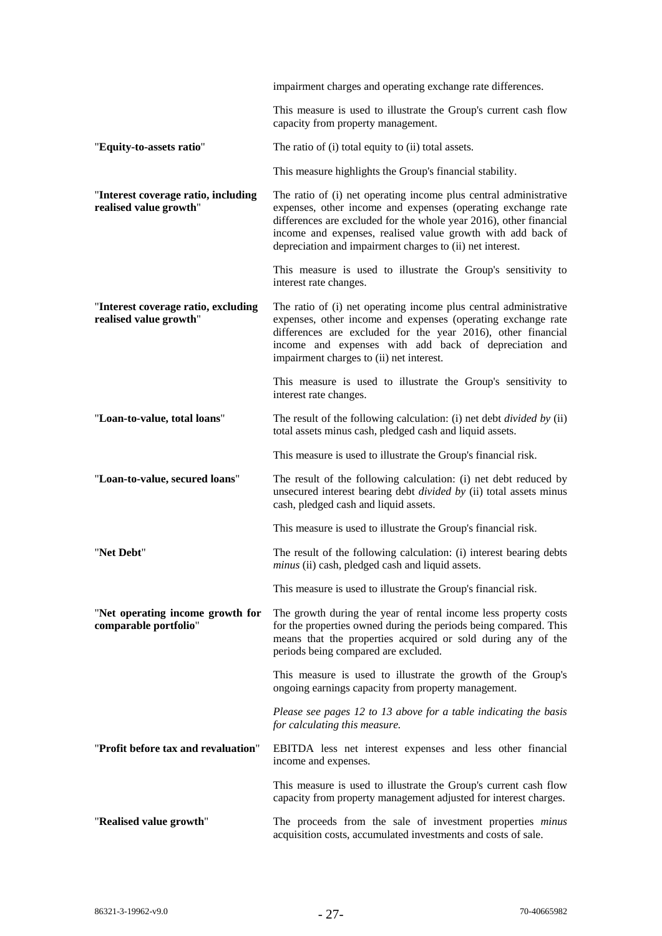|                                                               | impairment charges and operating exchange rate differences.                                                                                                                                                                                                                                                                         |
|---------------------------------------------------------------|-------------------------------------------------------------------------------------------------------------------------------------------------------------------------------------------------------------------------------------------------------------------------------------------------------------------------------------|
|                                                               | This measure is used to illustrate the Group's current cash flow<br>capacity from property management.                                                                                                                                                                                                                              |
| "Equity-to-assets ratio"                                      | The ratio of (i) total equity to (ii) total assets.                                                                                                                                                                                                                                                                                 |
|                                                               | This measure highlights the Group's financial stability.                                                                                                                                                                                                                                                                            |
| "Interest coverage ratio, including<br>realised value growth" | The ratio of (i) net operating income plus central administrative<br>expenses, other income and expenses (operating exchange rate<br>differences are excluded for the whole year 2016), other financial<br>income and expenses, realised value growth with add back of<br>depreciation and impairment charges to (ii) net interest. |
|                                                               | This measure is used to illustrate the Group's sensitivity to<br>interest rate changes.                                                                                                                                                                                                                                             |
| "Interest coverage ratio, excluding<br>realised value growth" | The ratio of (i) net operating income plus central administrative<br>expenses, other income and expenses (operating exchange rate<br>differences are excluded for the year 2016), other financial<br>income and expenses with add back of depreciation and<br>impairment charges to (ii) net interest.                              |
|                                                               | This measure is used to illustrate the Group's sensitivity to<br>interest rate changes.                                                                                                                                                                                                                                             |
| "Loan-to-value, total loans"                                  | The result of the following calculation: (i) net debt <i>divided by</i> (ii)<br>total assets minus cash, pledged cash and liquid assets.                                                                                                                                                                                            |
|                                                               | This measure is used to illustrate the Group's financial risk.                                                                                                                                                                                                                                                                      |
| "Loan-to-value, secured loans"                                | The result of the following calculation: (i) net debt reduced by<br>unsecured interest bearing debt <i>divided by</i> (ii) total assets minus<br>cash, pledged cash and liquid assets.                                                                                                                                              |
|                                                               | This measure is used to illustrate the Group's financial risk.                                                                                                                                                                                                                                                                      |
| "Net Debt"                                                    | The result of the following calculation: (i) interest bearing debts<br>minus (ii) cash, pledged cash and liquid assets.                                                                                                                                                                                                             |
|                                                               | This measure is used to illustrate the Group's financial risk.                                                                                                                                                                                                                                                                      |
| "Net operating income growth for<br>comparable portfolio"     | The growth during the year of rental income less property costs<br>for the properties owned during the periods being compared. This<br>means that the properties acquired or sold during any of the<br>periods being compared are excluded.                                                                                         |
|                                                               | This measure is used to illustrate the growth of the Group's<br>ongoing earnings capacity from property management.                                                                                                                                                                                                                 |
|                                                               | Please see pages 12 to 13 above for a table indicating the basis<br>for calculating this measure.                                                                                                                                                                                                                                   |
| "Profit before tax and revaluation"                           | EBITDA less net interest expenses and less other financial<br>income and expenses.                                                                                                                                                                                                                                                  |
|                                                               | This measure is used to illustrate the Group's current cash flow<br>capacity from property management adjusted for interest charges.                                                                                                                                                                                                |
| "Realised value growth"                                       | The proceeds from the sale of investment properties minus<br>acquisition costs, accumulated investments and costs of sale.                                                                                                                                                                                                          |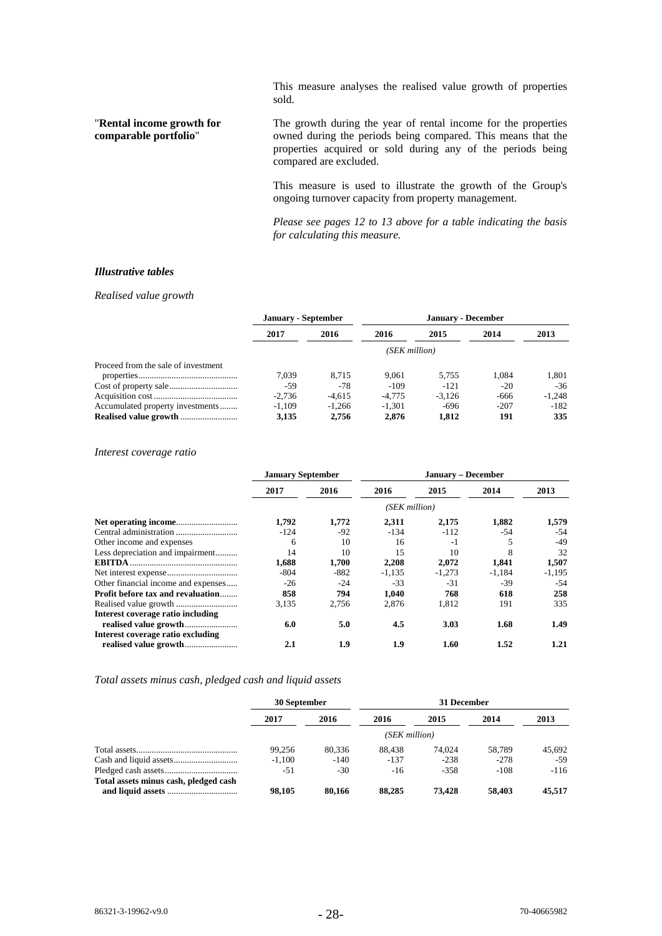This measure analyses the realised value growth of properties sold.

# "**Rental income growth for comparable portfolio**"

The growth during the year of rental income for the properties owned during the periods being compared. This means that the properties acquired or sold during any of the periods being compared are excluded.

This measure is used to illustrate the growth of the Group's ongoing turnover capacity from property management.

*Please see pages 12 to 13 above for a table indicating the basis for calculating this measure.*

#### *Illustrative tables*

#### *Realised value growth*

|                                     | <b>January - September</b> |          |          |          |        |          |  |  |
|-------------------------------------|----------------------------|----------|----------|----------|--------|----------|--|--|
|                                     | 2017                       | 2016     | 2016     | 2015     | 2014   | 2013     |  |  |
|                                     | (SEK million)              |          |          |          |        |          |  |  |
| Proceed from the sale of investment |                            |          |          |          |        |          |  |  |
|                                     | 7.039                      | 8.715    | 9.061    | 5.755    | 1.084  | 1.801    |  |  |
|                                     | -59                        | $-78$    | $-109$   | $-121$   | $-20$  | $-36$    |  |  |
|                                     | $-2.736$                   | $-4.615$ | $-4.775$ | $-3.126$ | -666   | $-1.248$ |  |  |
| Accumulated property investments    | $-1.109$                   | $-1.266$ | $-1.301$ | $-696$   | $-207$ | $-182$   |  |  |
|                                     | 3.135                      | 2.756    | 2.876    | 1.812    | 191    | 335      |  |  |

#### *Interest coverage ratio*

|                                          | <b>January September</b> |       | January – December |          |          |          |
|------------------------------------------|--------------------------|-------|--------------------|----------|----------|----------|
|                                          | 2017                     | 2016  | 2016               | 2015     | 2014     | 2013     |
|                                          | (SEK million)            |       |                    |          |          |          |
|                                          | 1,792                    | 1,772 | 2,311              | 2,175    | 1,882    | 1,579    |
|                                          | $-124$                   | $-92$ | $-134$             | $-112$   | $-54$    | $-54$    |
| Other income and expenses                | 6                        | 10    | 16                 | $-1$     |          | $-49$    |
| Less depreciation and impairment         | 14                       | 10    | 15                 | 10       | 8        | 32       |
|                                          | 1.688                    | 1,700 | 2,208              | 2,072    | 1,841    | 1,507    |
|                                          | $-804$                   | -882  | $-1,135$           | $-1.273$ | $-1,184$ | $-1,195$ |
| Other financial income and expenses      | $-26$                    | $-24$ | $-33$              | $-31$    | $-39$    | $-54$    |
| <b>Profit before tax and revaluation</b> | 858                      | 794   | 1.040              | 768      | 618      | 258      |
|                                          | 3,135                    | 2,756 | 2,876              | 1,812    | 191      | 335      |
| Interest coverage ratio including        |                          |       |                    |          |          |          |
|                                          | 6.0                      | 5.0   | 4.5                | 3.03     | 1.68     | 1.49     |
| Interest coverage ratio excluding        |                          |       |                    |          |          |          |
|                                          | 2.1                      | 1.9   | 1.9                | 1.60     | 1.52     | 1.21     |

## *Total assets minus cash, pledged cash and liquid assets*

|                                       | 30 September  |        | 31 December |         |        |        |
|---------------------------------------|---------------|--------|-------------|---------|--------|--------|
|                                       | 2017          | 2016   | 2016        | 2015    | 2014   | 2013   |
|                                       | (SEK million) |        |             |         |        |        |
|                                       | 99.256        | 80.336 | 88.438      | 74.024  | 58.789 | 45.692 |
|                                       | $-1,100$      | $-140$ | $-137$      | $-238$  | $-278$ | $-59$  |
|                                       | -51           | $-30$  | $-16$       | $-3.58$ | $-108$ | $-116$ |
| Total assets minus cash, pledged cash | 98,105        | 80,166 | 88,285      | 73,428  | 58,403 | 45.517 |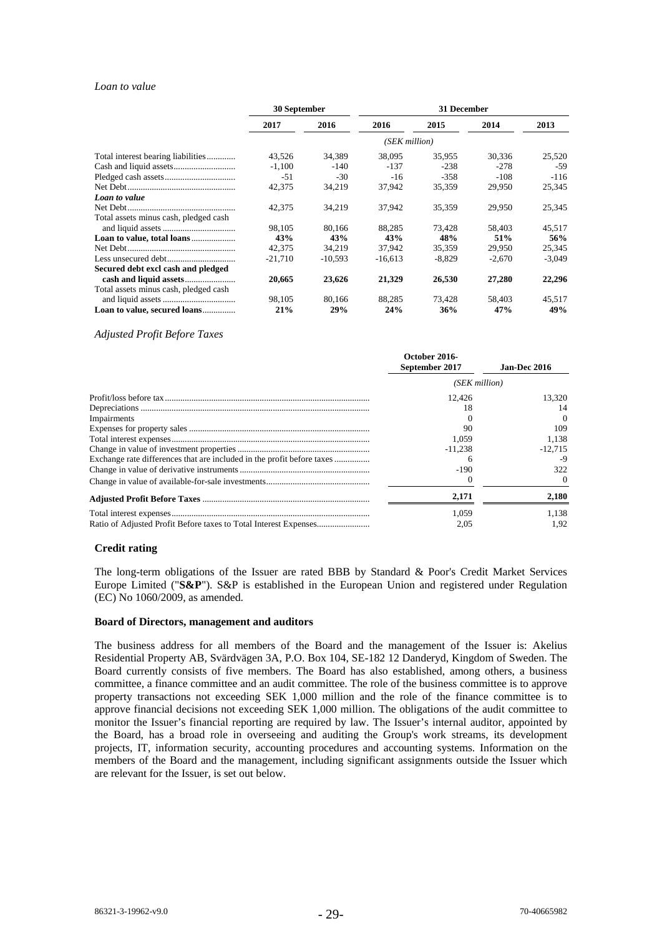#### *Loan to value*

|                                       | 30 September  |           | 31 December |          |          |          |
|---------------------------------------|---------------|-----------|-------------|----------|----------|----------|
|                                       | 2017          | 2016      | 2016        | 2015     | 2014     | 2013     |
|                                       | (SEK million) |           |             |          |          |          |
| Total interest bearing liabilities    | 43,526        | 34,389    | 38,095      | 35,955   | 30,336   | 25,520   |
|                                       | $-1,100$      | $-140$    | $-137$      | $-238$   | $-278$   | -59      |
|                                       | -51           | -30       | $-16$       | $-358$   | $-108$   | $-116$   |
|                                       | 42,375        | 34,219    | 37,942      | 35,359   | 29,950   | 25,345   |
| Loan to value                         |               |           |             |          |          |          |
|                                       | 42,375        | 34,219    | 37,942      | 35,359   | 29,950   | 25,345   |
| Total assets minus cash, pledged cash |               |           |             |          |          |          |
|                                       | 98.105        | 80.166    | 88.285      | 73.428   | 58.403   | 45,517   |
|                                       | 43%           | 43%       | 43%         | 48%      | 51%      | 56%      |
|                                       | 42,375        | 34,219    | 37,942      | 35,359   | 29,950   | 25,345   |
|                                       | $-21.710$     | $-10,593$ | $-16,613$   | $-8,829$ | $-2,670$ | $-3,049$ |
| Secured debt excl cash and pledged    |               |           |             |          |          |          |
|                                       | 20,665        | 23,626    | 21,329      | 26,530   | 27,280   | 22,296   |
| Total assets minus cash, pledged cash |               |           |             |          |          |          |
|                                       | 98,105        | 80,166    | 88,285      | 73,428   | 58,403   | 45,517   |
| Loan to value, secured loans          | 21%           | 29%       | 24%         | 36%      | 47%      | 49%      |

*Adjusted Profit Before Taxes* 

|                                                                        | October 2016-<br>September 2017 | <b>Jan-Dec 2016</b> |  |
|------------------------------------------------------------------------|---------------------------------|---------------------|--|
|                                                                        | (SEK million)                   |                     |  |
|                                                                        | 12.426                          | 13.320              |  |
|                                                                        | 18                              | 14                  |  |
| Impairments                                                            |                                 | $\Omega$            |  |
|                                                                        | 90                              | 109                 |  |
|                                                                        | 1.059                           | 1.138               |  |
|                                                                        | $-11.238$                       | $-12.715$           |  |
| Exchange rate differences that are included in the profit before taxes |                                 | -9                  |  |
|                                                                        | $-190$                          | 322                 |  |
|                                                                        |                                 |                     |  |
|                                                                        | 2.171                           | 2,180               |  |
|                                                                        | 1.059                           | 1.138               |  |
|                                                                        | 2.05                            | 1.92                |  |

#### **Credit rating**

The long-term obligations of the Issuer are rated BBB by Standard & Poor's Credit Market Services Europe Limited ("**S&P**"). S&P is established in the European Union and registered under Regulation (EC) No 1060/2009, as amended.

#### **Board of Directors, management and auditors**

The business address for all members of the Board and the management of the Issuer is: Akelius Residential Property AB, Svärdvägen 3A, P.O. Box 104, SE-182 12 Danderyd, Kingdom of Sweden. The Board currently consists of five members. The Board has also established, among others, a business committee, a finance committee and an audit committee. The role of the business committee is to approve property transactions not exceeding SEK 1,000 million and the role of the finance committee is to approve financial decisions not exceeding SEK 1,000 million. The obligations of the audit committee to monitor the Issuer's financial reporting are required by law. The Issuer's internal auditor, appointed by the Board, has a broad role in overseeing and auditing the Group's work streams, its development projects, IT, information security, accounting procedures and accounting systems. Information on the members of the Board and the management, including significant assignments outside the Issuer which are relevant for the Issuer, is set out below.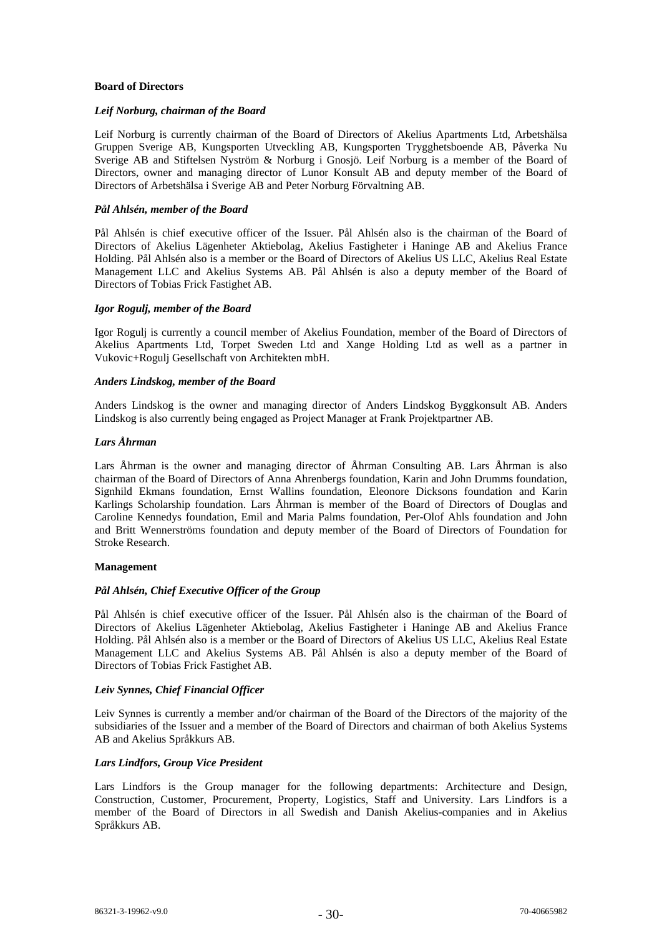## **Board of Directors**

## *Leif Norburg, chairman of the Board*

Leif Norburg is currently chairman of the Board of Directors of Akelius Apartments Ltd, Arbetshälsa Gruppen Sverige AB, Kungsporten Utveckling AB, Kungsporten Trygghetsboende AB, Påverka Nu Sverige AB and Stiftelsen Nyström & Norburg i Gnosjö. Leif Norburg is a member of the Board of Directors, owner and managing director of Lunor Konsult AB and deputy member of the Board of Directors of Arbetshälsa i Sverige AB and Peter Norburg Förvaltning AB.

## *Pål Ahlsén, member of the Board*

Pål Ahlsén is chief executive officer of the Issuer. Pål Ahlsén also is the chairman of the Board of Directors of Akelius Lägenheter Aktiebolag, Akelius Fastigheter i Haninge AB and Akelius France Holding. Pål Ahlsén also is a member or the Board of Directors of Akelius US LLC, Akelius Real Estate Management LLC and Akelius Systems AB. Pål Ahlsén is also a deputy member of the Board of Directors of Tobias Frick Fastighet AB.

## *Igor Rogulj, member of the Board*

Igor Rogulj is currently a council member of Akelius Foundation, member of the Board of Directors of Akelius Apartments Ltd, Torpet Sweden Ltd and Xange Holding Ltd as well as a partner in Vukovic+Rogulj Gesellschaft von Architekten mbH.

## *Anders Lindskog, member of the Board*

Anders Lindskog is the owner and managing director of Anders Lindskog Byggkonsult AB. Anders Lindskog is also currently being engaged as Project Manager at Frank Projektpartner AB.

## *Lars Åhrman*

Lars Åhrman is the owner and managing director of Åhrman Consulting AB. Lars Åhrman is also chairman of the Board of Directors of Anna Ahrenbergs foundation, Karin and John Drumms foundation, Signhild Ekmans foundation, Ernst Wallins foundation, Eleonore Dicksons foundation and Karin Karlings Scholarship foundation. Lars Åhrman is member of the Board of Directors of Douglas and Caroline Kennedys foundation, Emil and Maria Palms foundation, Per-Olof Ahls foundation and John and Britt Wennerströms foundation and deputy member of the Board of Directors of Foundation for Stroke Research.

#### **Management**

## *Pål Ahlsén, Chief Executive Officer of the Group*

Pål Ahlsén is chief executive officer of the Issuer. Pål Ahlsén also is the chairman of the Board of Directors of Akelius Lägenheter Aktiebolag, Akelius Fastigheter i Haninge AB and Akelius France Holding. Pål Ahlsén also is a member or the Board of Directors of Akelius US LLC, Akelius Real Estate Management LLC and Akelius Systems AB. Pål Ahlsén is also a deputy member of the Board of Directors of Tobias Frick Fastighet AB.

### *Leiv Synnes, Chief Financial Officer*

Leiv Synnes is currently a member and/or chairman of the Board of the Directors of the majority of the subsidiaries of the Issuer and a member of the Board of Directors and chairman of both Akelius Systems AB and Akelius Språkkurs AB.

## *Lars Lindfors, Group Vice President*

Lars Lindfors is the Group manager for the following departments: Architecture and Design, Construction, Customer, Procurement, Property, Logistics, Staff and University. Lars Lindfors is a member of the Board of Directors in all Swedish and Danish Akelius-companies and in Akelius Språkkurs AB.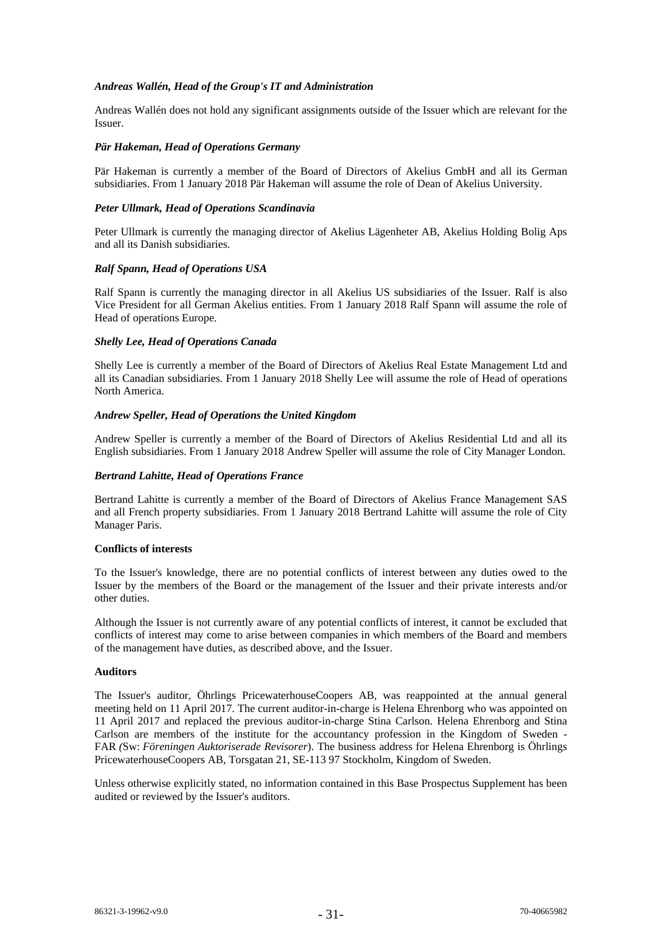## *Andreas Wallén, Head of the Group's IT and Administration*

Andreas Wallén does not hold any significant assignments outside of the Issuer which are relevant for the Issuer.

### *Pär Hakeman, Head of Operations Germany*

Pär Hakeman is currently a member of the Board of Directors of Akelius GmbH and all its German subsidiaries. From 1 January 2018 Pär Hakeman will assume the role of Dean of Akelius University.

## *Peter Ullmark, Head of Operations Scandinavia*

Peter Ullmark is currently the managing director of Akelius Lägenheter AB, Akelius Holding Bolig Aps and all its Danish subsidiaries.

#### *Ralf Spann, Head of Operations USA*

Ralf Spann is currently the managing director in all Akelius US subsidiaries of the Issuer. Ralf is also Vice President for all German Akelius entities. From 1 January 2018 Ralf Spann will assume the role of Head of operations Europe.

## *Shelly Lee, Head of Operations Canada*

Shelly Lee is currently a member of the Board of Directors of Akelius Real Estate Management Ltd and all its Canadian subsidiaries. From 1 January 2018 Shelly Lee will assume the role of Head of operations North America.

#### *Andrew Speller, Head of Operations the United Kingdom*

Andrew Speller is currently a member of the Board of Directors of Akelius Residential Ltd and all its English subsidiaries. From 1 January 2018 Andrew Speller will assume the role of City Manager London.

## *Bertrand Lahitte, Head of Operations France*

Bertrand Lahitte is currently a member of the Board of Directors of Akelius France Management SAS and all French property subsidiaries. From 1 January 2018 Bertrand Lahitte will assume the role of City Manager Paris.

#### **Conflicts of interests**

To the Issuer's knowledge, there are no potential conflicts of interest between any duties owed to the Issuer by the members of the Board or the management of the Issuer and their private interests and/or other duties.

Although the Issuer is not currently aware of any potential conflicts of interest, it cannot be excluded that conflicts of interest may come to arise between companies in which members of the Board and members of the management have duties, as described above, and the Issuer.

#### **Auditors**

The Issuer's auditor, Öhrlings PricewaterhouseCoopers AB, was reappointed at the annual general meeting held on 11 April 2017. The current auditor-in-charge is Helena Ehrenborg who was appointed on 11 April 2017 and replaced the previous auditor-in-charge Stina Carlson. Helena Ehrenborg and Stina Carlson are members of the institute for the accountancy profession in the Kingdom of Sweden - FAR *(*Sw: *Föreningen Auktoriserade Revisorer*). The business address for Helena Ehrenborg is Öhrlings PricewaterhouseCoopers AB, Torsgatan 21, SE-113 97 Stockholm, Kingdom of Sweden.

Unless otherwise explicitly stated, no information contained in this Base Prospectus Supplement has been audited or reviewed by the Issuer's auditors.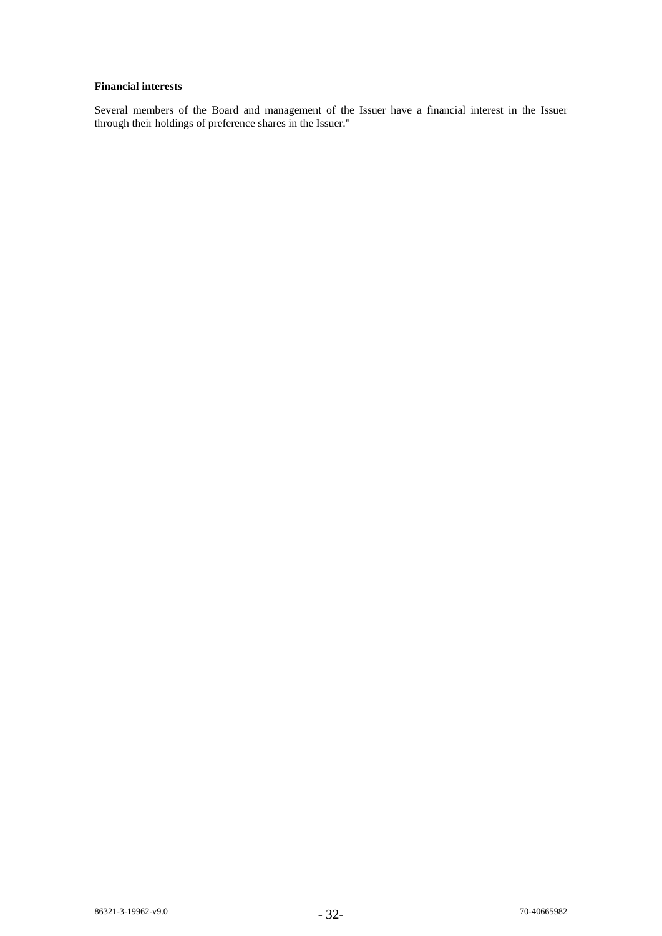# **Financial interests**

Several members of the Board and management of the Issuer have a financial interest in the Issuer through their holdings of preference shares in the Issuer."